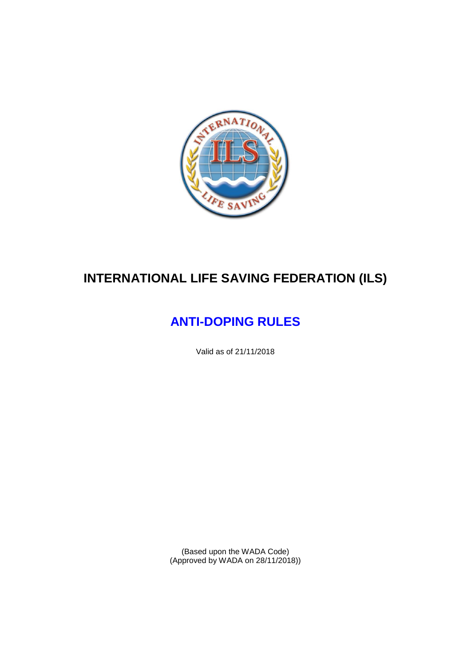

# **INTERNATIONAL LIFE SAVING FEDERATION (ILS)**

# **ANTI-DOPING RULES**

Valid as of 21/11/2018

(Based upon the WADA Code) (Approved by WADA on 28/11/2018))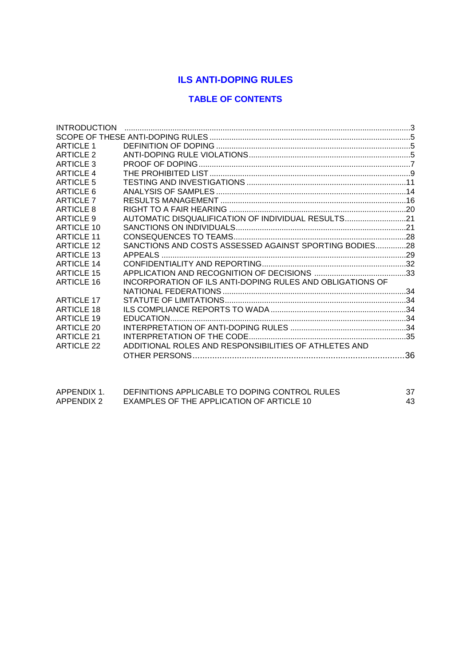# **ILS ANTI-DOPING RULES**

# **TABLE OF CONTENTS**

| <b>INTRODUCTION</b> |                                                           |  |
|---------------------|-----------------------------------------------------------|--|
|                     |                                                           |  |
| <b>ARTICLE 1</b>    |                                                           |  |
| <b>ARTICLE 2</b>    |                                                           |  |
| ARTICLE 3           |                                                           |  |
| <b>ARTICLE 4</b>    |                                                           |  |
| ARTICLE 5           |                                                           |  |
| ARTICLE 6           |                                                           |  |
| <b>ARTICLE 7</b>    |                                                           |  |
| ARTICLE 8           |                                                           |  |
| ARTICLE 9           | AUTOMATIC DISQUALIFICATION OF INDIVIDUAL RESULTS21        |  |
| ARTICLE 10          |                                                           |  |
| <b>ARTICLE 11</b>   |                                                           |  |
| <b>ARTICLE 12</b>   | SANCTIONS AND COSTS ASSESSED AGAINST SPORTING BODIES28    |  |
| <b>ARTICLE 13</b>   |                                                           |  |
| <b>ARTICLE 14</b>   |                                                           |  |
| <b>ARTICLE 15</b>   |                                                           |  |
| <b>ARTICLE 16</b>   | INCORPORATION OF ILS ANTI-DOPING RULES AND OBLIGATIONS OF |  |
|                     |                                                           |  |
| <b>ARTICLE 17</b>   |                                                           |  |
| <b>ARTICLE 18</b>   |                                                           |  |
| ARTICLE 19          |                                                           |  |
| ARTICLE 20          |                                                           |  |
| <b>ARTICLE 21</b>   |                                                           |  |
| <b>ARTICLE 22</b>   | ADDITIONAL ROLES AND RESPONSIBILITIES OF ATHLETES AND     |  |
|                     |                                                           |  |
|                     |                                                           |  |

| APPENDIX 1. | DEFINITIONS APPLICABLE TO DOPING CONTROL RULES |    |
|-------------|------------------------------------------------|----|
| APPENDIX 2  | EXAMPLES OF THE APPLICATION OF ARTICLE 10      | 43 |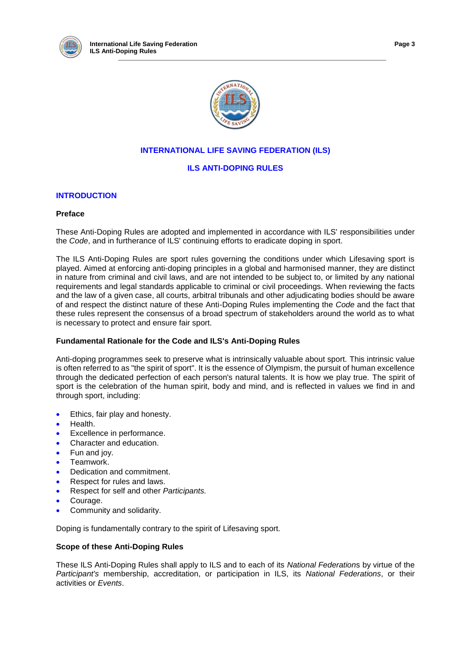



# **INTERNATIONAL LIFE SAVING FEDERATION (ILS)**

## **ILS ANTI-DOPING RULES**

## **INTRODUCTION**

## **Preface**

These Anti-Doping Rules are adopted and implemented in accordance with ILS' responsibilities under the *Code*, and in furtherance of ILS' continuing efforts to eradicate doping in sport.

The ILS Anti-Doping Rules are sport rules governing the conditions under which Lifesaving sport is played. Aimed at enforcing anti-doping principles in a global and harmonised manner, they are distinct in nature from criminal and civil laws, and are not intended to be subject to, or limited by any national requirements and legal standards applicable to criminal or civil proceedings. When reviewing the facts and the law of a given case, all courts, arbitral tribunals and other adjudicating bodies should be aware of and respect the distinct nature of these Anti-Doping Rules implementing the *Code* and the fact that these rules represent the consensus of a broad spectrum of stakeholders around the world as to what is necessary to protect and ensure fair sport.

## **Fundamental Rationale for the Code and ILS's Anti-Doping Rules**

Anti-doping programmes seek to preserve what is intrinsically valuable about sport. This intrinsic value is often referred to as "the spirit of sport". It is the essence of Olympism, the pursuit of human excellence through the dedicated perfection of each person's natural talents. It is how we play true. The spirit of sport is the celebration of the human spirit, body and mind, and is reflected in values we find in and through sport, including:

- Ethics, fair play and honesty.
- Health.
- Excellence in performance.
- Character and education.
- Fun and joy.
- Teamwork.
- Dedication and commitment.
- Respect for rules and laws.
- Respect for self and other *Participants.*
- Courage.
- Community and solidarity.

Doping is fundamentally contrary to the spirit of Lifesaving sport.

## **Scope of these Anti-Doping Rules**

These ILS Anti-Doping Rules shall apply to ILS and to each of its *National Federation*s by virtue of the *Participant's* membership, accreditation, or participation in ILS, its *National Federations*, or their activities or *Events*.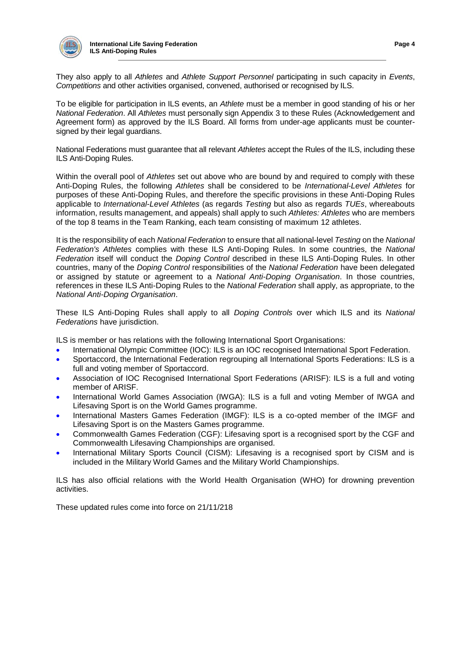

They also apply to all *Athletes* and *Athlete Support Personnel* participating in such capacity in *Events*, *Competitions* and other activities organised, convened, authorised or recognised by ILS.

To be eligible for participation in ILS events, an *Athlete* must be a member in good standing of his or her *National Federation*. All *Athletes* must personally sign Appendix 3 to these Rules (Acknowledgement and Agreement form) as approved by the ILS Board. All forms from under-age applicants must be countersigned by their legal guardians.

National Federations must guarantee that all relevant *Athletes* accept the Rules of the ILS, including these ILS Anti-Doping Rules.

Within the overall pool of *Athletes* set out above who are bound by and required to comply with these Anti-Doping Rules, the following *Athletes* shall be considered to be *International-Level Athletes* for purposes of these Anti-Doping Rules, and therefore the specific provisions in these Anti-Doping Rules applicable to *International-Level Athletes* (as regards *Testing* but also as regards *TUEs*, whereabouts information, results management, and appeals) shall apply to such *Athletes: Athletes* who are members of the top 8 teams in the Team Ranking, each team consisting of maximum 12 athletes.

It is the responsibility of each *National Federation* to ensure that all national-level *Testing* on the *National Federation's Athletes* complies with these ILS Anti-Doping Rules. In some countries, the *National Federation* itself will conduct the *Doping Control* described in these ILS Anti-Doping Rules. In other countries, many of the *Doping Control* responsibilities of the *National Federation* have been delegated or assigned by statute or agreement to a *National Anti-Doping Organisation*. In those countries, references in these ILS Anti-Doping Rules to the *National Federation* shall apply, as appropriate, to the *National Anti-Doping Organisation*.

These ILS Anti-Doping Rules shall apply to all *Doping Controls* over which ILS and its *National Federations* have jurisdiction.

ILS is member or has relations with the following International Sport Organisations:

- International Olympic Committee (IOC): ILS is an IOC recognised International Sport Federation.
- Sportaccord, the International Federation regrouping all International Sports Federations: ILS is a full and voting member of Sportaccord.
- Association of IOC Recognised International Sport Federations (ARISF): ILS is a full and voting member of ARISF.
- International World Games Association (IWGA): ILS is a full and voting Member of IWGA and Lifesaving Sport is on the World Games programme.
- International Masters Games Federation (IMGF): ILS is a co-opted member of the IMGF and Lifesaving Sport is on the Masters Games programme.
- Commonwealth Games Federation (CGF): Lifesaving sport is a recognised sport by the CGF and Commonwealth Lifesaving Championships are organised.
- International Military Sports Council (CISM): Lifesaving is a recognised sport by CISM and is included in the Military World Games and the Military World Championships.

ILS has also official relations with the World Health Organisation (WHO) for drowning prevention activities.

These updated rules come into force on 21/11/218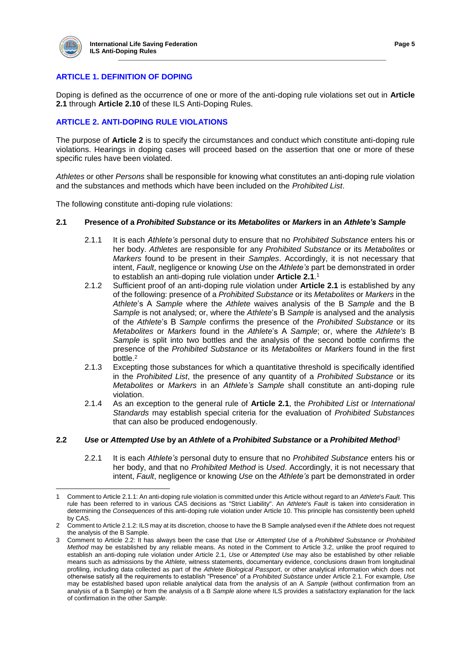

 $\overline{a}$ 

## **ARTICLE 1. DEFINITION OF DOPING**

Doping is defined as the occurrence of one or more of the anti-doping rule violations set out in **Article 2.1** through **Article 2.10** of these ILS Anti-Doping Rules.

## **ARTICLE 2. ANTI-DOPING RULE VIOLATIONS**

The purpose of **Article 2** is to specify the circumstances and conduct which constitute anti-doping rule violations. Hearings in doping cases will proceed based on the assertion that one or more of these specific rules have been violated.

*Athletes* or other *Persons* shall be responsible for knowing what constitutes an anti-doping rule violation and the substances and methods which have been included on the *Prohibited List*.

The following constitute anti-doping rule violations:

#### **2.1 Presence of a** *Prohibited Substance* **or its** *Metabolites* **or** *Markers* **in an** *Athlete's Sample*

- 2.1.1 It is each *Athlete's* personal duty to ensure that no *Prohibited Substance* enters his or her body. *Athletes* are responsible for any *Prohibited Substance* or its *Metabolites* or *Markers* found to be present in their *Samples*. Accordingly, it is not necessary that intent, *Fault*, negligence or knowing *Use* on the *Athlete's* part be demonstrated in order to establish an anti-doping rule violation under **Article 2.1**. 1
- 2.1.2 Sufficient proof of an anti-doping rule violation under **Article 2.1** is established by any of the following: presence of a *Prohibited Substance* or its *Metabolites* or *Markers* in the *Athlete*'s A *Sample* where the *Athlete* waives analysis of the B *Sample* and the B *Sample* is not analysed; or, where the *Athlete*'s B *Sample* is analysed and the analysis of the *Athlete*'s B *Sample* confirms the presence of the *Prohibited Substance* or its *Metabolites* or *Markers* found in the *Athlete*'s A *Sample*; or, where the *Athlete's* B *Sample* is split into two bottles and the analysis of the second bottle confirms the presence of the *Prohibited Substance* or its *Metabolites* or *Markers* found in the first bottle.<sup>2</sup>
- 2.1.3 Excepting those substances for which a quantitative threshold is specifically identified in the *Prohibited List*, the presence of any quantity of a *Prohibited Substance* or its *Metabolites* or *Markers* in an *Athlete's Sample* shall constitute an anti-doping rule violation.
- 2.1.4 As an exception to the general rule of **Article 2.1**, the *Prohibited List* or *International Standards* may establish special criteria for the evaluation of *Prohibited Substances* that can also be produced endogenously.

## **2.2** *Use* **or** *Attempted Use* **by an** *Athlete* **of a** *Prohibited Substance* **or a** *Prohibited Method*<sup>3</sup>

2.2.1 It is each *Athlete's* personal duty to ensure that no *Prohibited Substance* enters his or her body, and that no *Prohibited Method* is *Used*. Accordingly, it is not necessary that intent, *Fault*, negligence or knowing *Use* on the *Athlete's* part be demonstrated in order

<sup>1</sup> Comment to Article 2.1.1: An anti-doping rule violation is committed under this Article without regard to an *Athlete*'s *Fault*. This rule has been referred to in various CAS decisions as "Strict Liability". An *Athlete*'s *Fault* is taken into consideration in determining the *Consequences* of this anti-doping rule violation under Article 10. This principle has consistently been upheld by CAS.

<sup>2</sup> Comment to Article 2.1.2: ILS may at its discretion, choose to have the B Sample analysed even if the Athlete does not request the analysis of the B Sample.

<sup>3</sup> Comment to Article 2.2: It has always been the case that *Use* or *Attempted Use* of a *Prohibited Substance* or *Prohibited Method* may be established by any reliable means. As noted in the Comment to Article 3.2, unlike the proof required to establish an anti-doping rule violation under Article 2.1, *Use* or *Attempted Use* may also be established by other reliable means such as admissions by the *Athlete*, witness statements, documentary evidence, conclusions drawn from longitudinal profiling, including data collected as part of the *Athlete Biological Passport*, or other analytical information which does not otherwise satisfy all the requirements to establish "Presence" of a *Prohibited Substance* under Article 2.1. For example, *Use* may be established based upon reliable analytical data from the analysis of an A *Sample* (without confirmation from an analysis of a B Sample) or from the analysis of a B *Sample* alone where ILS provides a satisfactory explanation for the lack of confirmation in the other *Sample*.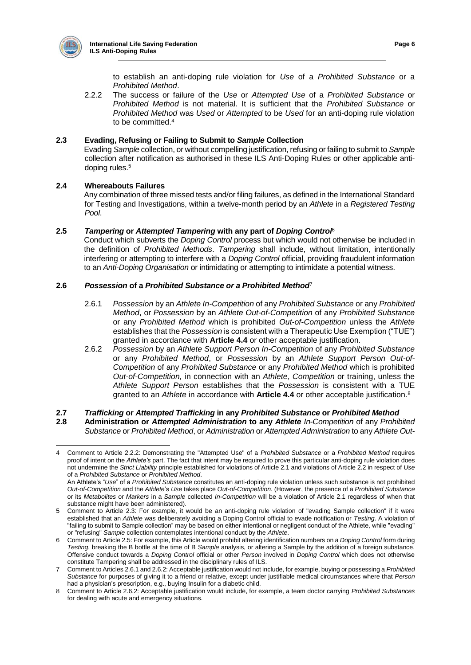

to establish an anti-doping rule violation for *Use* of a *Prohibited Substance* or a *Prohibited Method*.

2.2.2 The success or failure of the *Use* or *Attempted Use* of a *Prohibited Substance* or *Prohibited Method* is not material. It is sufficient that the *Prohibited Substance* or *Prohibited Method* was *Used* or *Attempted* to be *Used* for an anti-doping rule violation to be committed.<sup>4</sup>

## **2.3 Evading, Refusing or Failing to Submit to** *Sample* **Collection**

Evading *Sample* collection, or without compelling justification, refusing or failing to submit to *Sample*  collection after notification as authorised in these ILS Anti-Doping Rules or other applicable antidoping rules.<sup>5</sup>

# **2.4 Whereabouts Failures**

Any combination of three missed tests and/or filing failures, as defined in the International Standard for Testing and Investigations, within a twelve-month period by an *Athlete* in a *Registered Testing Pool*.

## **2.5** *Tampering* **or** *Attempted Tampering* **with any part of** *Doping Control*<sup>6</sup>

Conduct which subverts the *Doping Control* process but which would not otherwise be included in the definition of *Prohibited Methods*. *Tampering* shall include, without limitation, intentionally interfering or attempting to interfere with a *Doping Control* official, providing fraudulent information to an *Anti-Doping Organisation* or intimidating or attempting to intimidate a potential witness.

## **2.6** *Possession* **of a** *Prohibited Substance or a Prohibited Method*<sup>7</sup>

- 2.6.1 *Possession* by an *Athlete In-Competition* of any *Prohibited Substance* or any *Prohibited Method*, or *Possession* by an *Athlete Out-of-Competition* of any *Prohibited Substance*  or any *Prohibited Method* which is prohibited *Out-of-Competition* unless the *Athlete* establishes that the *Possession* is consistent with a Therapeutic Use Exemption ("TUE") granted in accordance with **Article 4.4** or other acceptable justification.
- 2.6.2 *Possession* by an *Athlete Support Person In-Competition* of any *Prohibited Substance* or any *Prohibited Method*, or *Possession* by an *Athlete Support Person Out-of-Competition* of any *Prohibited Substance* or any *Prohibited Method* which is prohibited *Out-of-Competition,* in connection with an *Athlete*, *Competition* or training, unless the *Athlete Support Person* establishes that the *Possession* is consistent with a TUE granted to an *Athlete* in accordance with **Article 4.4** or other acceptable justification.<sup>8</sup>

## **2.7** *Trafficking* **or** *Attempted Trafficking* **in any** *Prohibited Substance* **or** *Prohibited Method*

**2.8 Administration or** *Attempted Administration* **to any** *Athlete In-Competition* of any *Prohibited Substance* or *Prohibited Method*, or *Administration* or *Attempted Administration* to any *Athlete Out-*

 $\overline{a}$ 4 Comment to Article 2.2.2: Demonstrating the "Attempted Use" of a *Prohibited Substance* or a *Prohibited Method* requires proof of intent on the *Athlete's* part. The fact that intent may be required to prove this particular anti-doping rule violation does not undermine the *Strict Liability* principle established for violations of Article 2.1 and violations of Article 2.2 in respect of *Use* of a *Prohibited Substance* or *Prohibited Method*.

An Athlete's "*Use*" of a *Prohibited Substance* constitutes an anti-doping rule violation unless such substance is not prohibited *Out-of-Competition* and the *Athlete*'s *Use* takes place *Out-of-Competition*. (However, the presence of a *Prohibited Substance* or its *Metabolites* or *Markers* in a *Sample* collected *In-Competition* will be a violation of Article 2.1 regardless of when that substance might have been administered).

<sup>5</sup> Comment to Article 2.3: For example, it would be an anti-doping rule violation of "evading Sample collection" if it were established that an *Athlete* was deliberately avoiding a Doping Control official to evade notification or *Testing*. A violation of "failing to submit to Sample collection" may be based on either intentional or negligent conduct of the Athlete, while "evading" or "refusing" *Sample* collection contemplates intentional conduct by the *Athlete*.

<sup>6</sup> Comment to Article 2.5: For example, this Article would prohibit altering identification numbers on a *Doping Control* form during *Testing*, breaking the B bottle at the time of B *Sample* analysis, or altering a Sample by the addition of a foreign substance. Offensive conduct towards a *Doping Control* official or other *Person* involved in *Doping Control* which does not otherwise constitute Tampering shall be addressed in the disciplinary rules of ILS.

<sup>7</sup> Comment to Articles 2.6.1 and 2.6.2: Acceptable justification would not include, for example, buying or possessing a *Prohibited Substance* for purposes of giving it to a friend or relative, except under justifiable medical circumstances where that *Person* had a physician's prescription, e.g., buying Insulin for a diabetic child.

<sup>8</sup> Comment to Article 2.6.2: Acceptable justification would include, for example, a team doctor carrying *Prohibited Substances* for dealing with acute and emergency situations.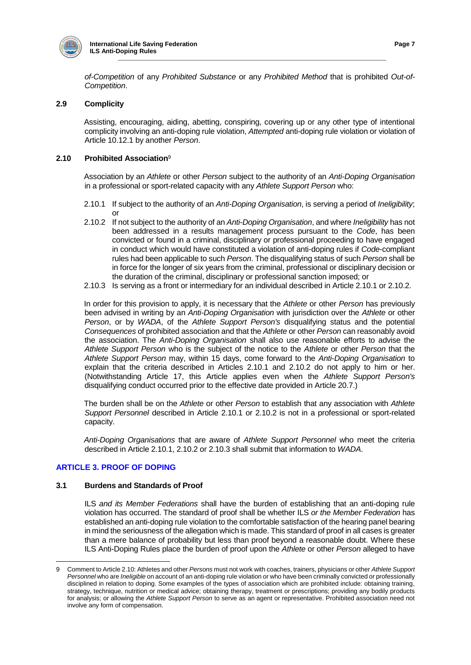

*of-Competition* of any *Prohibited Substance* or any *Prohibited Method* that is prohibited *Out-of-Competition*.

#### **2.9 Complicity**

Assisting, encouraging, aiding, abetting, conspiring, covering up or any other type of intentional complicity involving an anti-doping rule violation, *Attempted* anti-doping rule violation or violation of Article 10.12.1 by another *Person*.

#### **2.10 Prohibited Association**<sup>9</sup>

Association by an *Athlete* or other *Person* subject to the authority of an *Anti-Doping Organisation*  in a professional or sport-related capacity with any *Athlete Support Person* who:

- 2.10.1 If subject to the authority of an *Anti-Doping Organisation*, is serving a period of *Ineligibility*; or
- 2.10.2 If not subject to the authority of an *Anti-Doping Organisation*, and where *Ineligibility* has not been addressed in a results management process pursuant to the *Code*, has been convicted or found in a criminal, disciplinary or professional proceeding to have engaged in conduct which would have constituted a violation of anti-doping rules if *Code*-compliant rules had been applicable to such *Person*. The disqualifying status of such *Person* shall be in force for the longer of six years from the criminal, professional or disciplinary decision or the duration of the criminal, disciplinary or professional sanction imposed; or
- 2.10.3 Is serving as a front or intermediary for an individual described in Article 2.10.1 or 2.10.2.

In order for this provision to apply, it is necessary that the *Athlete* or other *Person* has previously been advised in writing by an *Anti-Doping Organisation* with jurisdiction over the *Athlete* or other *Person*, or by *WADA*, of the *Athlete Support Person's* disqualifying status and the potential *Consequences* of prohibited association and that the *Athlete* or other *Person* can reasonably avoid the association. The *Anti-Doping Organisation* shall also use reasonable efforts to advise the *Athlete Support Person* who is the subject of the notice to the *Athlete* or other *Person* that the *Athlete Support Person* may, within 15 days, come forward to the *Anti-Doping Organisation* to explain that the criteria described in Articles 2.10.1 and 2.10.2 do not apply to him or her. (Notwithstanding Article 17, this Article applies even when the *Athlete Support Person's*  disqualifying conduct occurred prior to the effective date provided in Article 20.7.)

The burden shall be on the *Athlete* or other *Person* to establish that any association with *Athlete Support Personnel* described in Article 2.10.1 or 2.10.2 is not in a professional or sport-related capacity.

*Anti-Doping Organisations* that are aware of *Athlete Support Personnel* who meet the criteria described in Article 2.10.1, 2.10.2 or 2.10.3 shall submit that information to *WADA*.

## **ARTICLE 3. PROOF OF DOPING**

#### **3.1 Burdens and Standards of Proof**

ILS *and its Member Federations* shall have the burden of establishing that an anti-doping rule violation has occurred. The standard of proof shall be whether ILS *or the Member Federation* has established an anti-doping rule violation to the comfortable satisfaction of the hearing panel bearing in mind the seriousness of the allegation which is made. This standard of proof in all cases is greater than a mere balance of probability but less than proof beyond a reasonable doubt. Where these ILS Anti-Doping Rules place the burden of proof upon the *Athlete* or other *Person* alleged to have

<sup>9</sup> Comment to Article 2.10: Athletes and other *Persons* must not work with coaches, trainers, physicians or other *Athlete Support Personnel* who are *Ineligible* on account of an anti-doping rule violation or who have been criminally convicted or professionally disciplined in relation to doping. Some examples of the types of association which are prohibited include: obtaining training, strategy, technique, nutrition or medical advice; obtaining therapy, treatment or prescriptions; providing any bodily products for analysis; or allowing the *Athlete Support Person* to serve as an agent or representative. Prohibited association need not involve any form of compensation.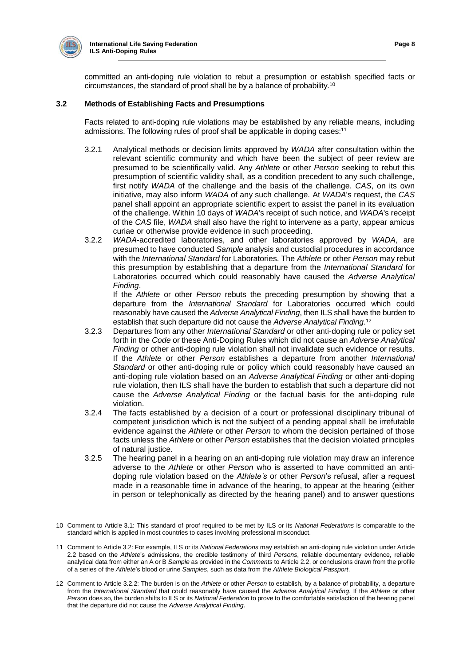

committed an anti-doping rule violation to rebut a presumption or establish specified facts or circumstances, the standard of proof shall be by a balance of probability.<sup>10</sup>

## **3.2 Methods of Establishing Facts and Presumptions**

Facts related to anti-doping rule violations may be established by any reliable means, including admissions. The following rules of proof shall be applicable in doping cases:<sup>11</sup>

- 3.2.1 Analytical methods or decision limits approved by *WADA* after consultation within the relevant scientific community and which have been the subject of peer review are presumed to be scientifically valid. Any *Athlete* or other *Person* seeking to rebut this presumption of scientific validity shall, as a condition precedent to any such challenge, first notify *WADA* of the challenge and the basis of the challenge. *CAS*, on its own initiative, may also inform *WADA* of any such challenge*.* At *WADA*'s request, the *CAS*  panel shall appoint an appropriate scientific expert to assist the panel in its evaluation of the challenge. Within 10 days of *WADA*'s receipt of such notice, and *WADA*'s receipt of the *CAS* file, *WADA* shall also have the right to intervene as a party, appear amicus curiae or otherwise provide evidence in such proceeding.
- 3.2.2 *WADA*-accredited laboratories, and other laboratories approved by *WADA*, are presumed to have conducted *Sample* analysis and custodial procedures in accordance with the *International Standard* for Laboratories. The *Athlete* or other *Person* may rebut this presumption by establishing that a departure from the *International Standard* for Laboratories occurred which could reasonably have caused the *Adverse Analytical Finding*.

If the *Athlete* or other *Person* rebuts the preceding presumption by showing that a departure from the *International Standard* for Laboratories occurred which could reasonably have caused the *Adverse Analytical Finding*, then ILS shall have the burden to establish that such departure did not cause the *Adverse Analytical Finding*. 12

- 3.2.3 Departures from any other *International Standard* or other anti-doping rule or policy set forth in the *Code* or these Anti-Doping Rules which did not cause an *Adverse Analytical Finding* or other anti-doping rule violation shall not invalidate such evidence or results. If the *Athlete* or other *Person* establishes a departure from another *International Standard* or other anti-doping rule or policy which could reasonably have caused an anti-doping rule violation based on an *Adverse Analytical Finding* or other anti-doping rule violation, then ILS shall have the burden to establish that such a departure did not cause the *Adverse Analytical Finding* or the factual basis for the anti-doping rule violation.
- 3.2.4 The facts established by a decision of a court or professional disciplinary tribunal of competent jurisdiction which is not the subject of a pending appeal shall be irrefutable evidence against the *Athlete* or other *Person* to whom the decision pertained of those facts unless the *Athlete* or other *Person* establishes that the decision violated principles of natural justice.
- 3.2.5 The hearing panel in a hearing on an anti-doping rule violation may draw an inference adverse to the *Athlete* or other *Person* who is asserted to have committed an antidoping rule violation based on the *Athlete's* or other *Person*'s refusal, after a request made in a reasonable time in advance of the hearing, to appear at the hearing (either in person or telephonically as directed by the hearing panel) and to answer questions

 10 Comment to Article 3.1: This standard of proof required to be met by ILS or its *National Federations* is comparable to the standard which is applied in most countries to cases involving professional misconduct.

<sup>11</sup> Comment to Article 3.2: For example, ILS or its *National Federations* may establish an anti-doping rule violation under Article 2.2 based on the *Athlete*'s admissions, the credible testimony of third *Persons*, reliable documentary evidence, reliable analytical data from either an A or B *Sample* as provided in the *Comments* to Article 2.2, or conclusions drawn from the profile of a series of the *Athlete*'s blood or urine *Samples*, such as data from the *Athlete Biological Passport*.

<sup>12</sup> Comment to Article 3.2.2: The burden is on the *Athlete* or other *Person* to establish, by a balance of probability, a departure from the *International Standard* that could reasonably have caused the *Adverse Analytical Finding*. If the *Athlete* or other *Person* does so, the burden shifts to ILS or its *National Federation* to prove to the comfortable satisfaction of the hearing panel that the departure did not cause the *Adverse Analytical Finding*.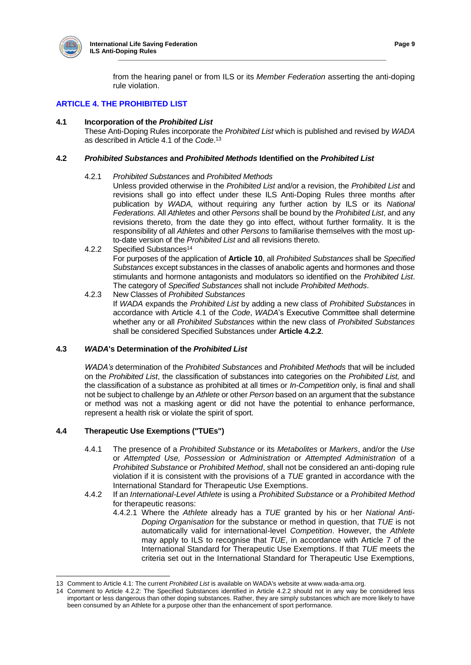

from the hearing panel or from ILS or its *Member Federation* asserting the anti-doping rule violation.

## **ARTICLE 4. THE PROHIBITED LIST**

## **4.1 Incorporation of the** *Prohibited List*

These Anti-Doping Rules incorporate the *Prohibited List* which is published and revised by *WADA* as described in Article 4.1 of the *Code*. 13

#### **4.2** *Prohibited Substances* **and** *Prohibited Methods* **Identified on the** *Prohibited List*

#### 4.2.1 *Prohibited Substances* and *Prohibited Methods*

Unless provided otherwise in the *Prohibited List* and/or a revision, the *Prohibited List* and revisions shall go into effect under these ILS Anti-Doping Rules three months after publication by *WADA,* without requiring any further action by ILS or its *National Federations.* All *Athletes* and other *Persons* shall be bound by the *Prohibited List*, and any revisions thereto, from the date they go into effect, without further formality. It is the responsibility of all *Athletes* and other *Persons* to familiarise themselves with the most upto-date version of the *Prohibited List* and all revisions thereto.

- 4.2.2 Specified Substances<sup>14</sup> For purposes of the application of **Article 10**, all *Prohibited Substances* shall be *Specified Substances* except substances in the classes of anabolic agents and hormones and those stimulants and hormone antagonists and modulators so identified on the *Prohibited List*. The category of *Specified Substances* shall not include *Prohibited Methods*.
- 4.2.3 New Classes of *Prohibited Substances* If *WADA* expands the *Prohibited List* by adding a new class of *Prohibited Substances* in accordance with Article 4.1 of the *Code*, *WADA*'s Executive Committee shall determine whether any or all *Prohibited Substances* within the new class of *Prohibited Substances* shall be considered Specified Substances under **Article 4.2.2**.

## **4.3** *WADA***'s Determination of the** *Prohibited List*

*WADA's* determination of the *Prohibited Substances* and *Prohibited Methods* that will be included on the *Prohibited List*, the classification of substances into categories on the *Prohibited List,* and the classification of a substance as prohibited at all times or *In-Competition* only, is final and shall not be subject to challenge by an *Athlete* or other *Person* based on an argument that the substance or method was not a masking agent or did not have the potential to enhance performance, represent a health risk or violate the spirit of sport.

## **4.4 Therapeutic Use Exemptions ("TUEs")**

- 4.4.1 The presence of a *Prohibited Substance* or its *Metabolites* or *Markers*, and/or the *Use*  or *Attempted Use, Possession* or *Administration* or *Attempted Administration* of a *Prohibited Substance* or *Prohibited Method*, shall not be considered an anti-doping rule violation if it is consistent with the provisions of a *TUE* granted in accordance with the International Standard for Therapeutic Use Exemptions.
- 4.4.2 If an *International-Level Athlete* is using a *Prohibited Substance* or a *Prohibited Method*  for therapeutic reasons:
	- 4.4.2.1 Where the *Athlete* already has a *TUE* granted by his or her *National Anti-Doping Organisation* for the substance or method in question, that *TUE* is not automatically valid for international-level *Competition*. However, the *Athlete*  may apply to ILS to recognise that *TUE*, in accordance with Article 7 of the International Standard for Therapeutic Use Exemptions. If that *TUE* meets the criteria set out in the International Standard for Therapeutic Use Exemptions,

 13 Comment to Article 4.1: The current *Prohibited List* is available on WADA's website at www.wada-ama.org.

<sup>14</sup> Comment to Article 4.2.2: The Specified Substances identified in Article 4.2.2 should not in any way be considered less important or less dangerous than other doping substances. Rather, they are simply substances which are more likely to have been consumed by an Athlete for a purpose other than the enhancement of sport performance.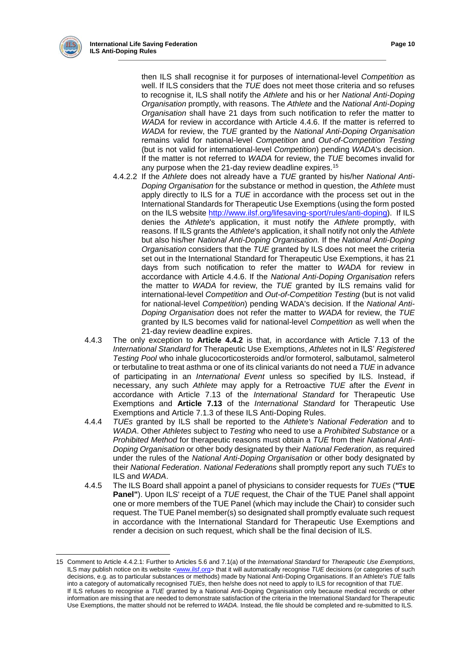

 $\overline{a}$ 

then ILS shall recognise it for purposes of international-level *Competition* as well. If ILS considers that the *TUE* does not meet those criteria and so refuses to recognise it, ILS shall notify the *Athlete* and his or her *National Anti-Doping Organisation* promptly, with reasons. The *Athlete* and the *National Anti-Doping Organisation* shall have 21 days from such notification to refer the matter to *WADA* for review in accordance with Article 4.4.6. If the matter is referred to *WADA* for review, the *TUE* granted by the *National Anti-Doping Organisation*  remains valid for national-level *Competition* and *Out-of-Competition Testing*  (but is not valid for international-level *Competition*) pending *WADA*'s decision. If the matter is not referred to *WADA* for review, the *TUE* becomes invalid for any purpose when the 21-day review deadline expires.<sup>15</sup>

- 4.4.2.2 If the *Athlete* does not already have a *TUE* granted by his/her *National Anti-Doping Organisation* for the substance or method in question, the *Athlete* must apply directly to ILS for a *TUE* in accordance with the process set out in the International Standards for Therapeutic Use Exemptions (using the form posted on the ILS website [http://www.ilsf.org/lifesaving-sport/rules/anti-doping\)](http://www.ilsf.org/lifesaving-sport/rules/anti-doping). If ILS denies the *Athlete*'s application, it must notify the *Athlete* promptly, with reasons. If ILS grants the *Athlete*'s application, it shall notify not only the *Athlete*  but also his/her *National Anti-Doping Organisation.* If the *National Anti-Doping Organisation* considers that the *TUE* granted by ILS does not meet the criteria set out in the International Standard for Therapeutic Use Exemptions, it has 21 days from such notification to refer the matter to *WADA* for review in accordance with Article 4.4.6. If the *National Anti-Doping Organisation* refers the matter to *WADA* for review, the *TUE* granted by ILS remains valid for international-level *Competition* and *Out-of-Competition Testing* (but is not valid for national-level *Competition*) pending WADA's decision. If the *National Anti-Doping Organisation* does not refer the matter to *WADA* for review, the *TUE*  granted by ILS becomes valid for national-level *Competition* as well when the 21-day review deadline expires.
- 4.4.3 The only exception to **Article 4.4.2** is that, in accordance with Article 7.13 of the *International Standard* for Therapeutic Use Exemptions, *Athletes* not in ILS' *Registered Testing Pool* who inhale glucocorticosteroids and/or formoterol, salbutamol, salmeterol or terbutaline to treat asthma or one of its clinical variants do not need a *TUE* in advance of participating in an *International Event* unless so specified by ILS. Instead, if necessary, any such *Athlete* may apply for a Retroactive *TUE* after the *Event* in accordance with Article 7.13 of the *International Standard* for Therapeutic Use Exemptions and **Article 7.13** of the *International Standard* for Therapeutic Use Exemptions and Article 7.1.3 of these ILS Anti-Doping Rules.
- 4.4.4 *TUEs* granted by ILS shall be reported to the *Athlete's National Federation* and to *WADA*. Other *Athletes* subject to *Testing* who need to use a *Prohibited Substance* or a *Prohibited Method* for therapeutic reasons must obtain a *TUE* from their *National Anti-Doping Organisation* or other body designated by their *National Federation*, as required under the rules of the *National Anti-Doping Organisation* or other body designated by their *National Federation*. *National Federations* shall promptly report any such *TUEs* to ILS and *WADA*.
- 4.4.5 The ILS Board shall appoint a panel of physicians to consider requests for *TUEs* (**"TUE Panel"**). Upon ILS' receipt of a *TUE* request, the Chair of the TUE Panel shall appoint one or more members of the TUE Panel (which may include the Chair) to consider such request. The TUE Panel member(s) so designated shall promptly evaluate such request in accordance with the International Standard for Therapeutic Use Exemptions and render a decision on such request, which shall be the final decision of ILS.

<sup>15</sup> Comment to Article 4.4.2.1: Further to Articles 5.6 and 7.1(a) of the *International Standard* for *Therapeutic Use Exemptions*, ILS may publish notice on its website [<www.ilsf.org>](http://www.ilsf.org/) that it will automatically recognise TUE decisions (or categories of such decisions, e.g. as to particular substances or methods) made by National Anti-Doping Organisations. If an Athlete's *TUE* falls into a category of automatically recognised *TUEs*, then he/she does not need to apply to ILS for recognition of that *TUE*. If ILS refuses to recognise a *TUE* granted by a National Anti-Doping Organisation only because medical records or other information are missing that are needed to demonstrate satisfaction of the criteria in the International Standard for Therapeutic Use Exemptions, the matter should not be referred to *WADA*. Instead, the file should be completed and re-submitted to ILS.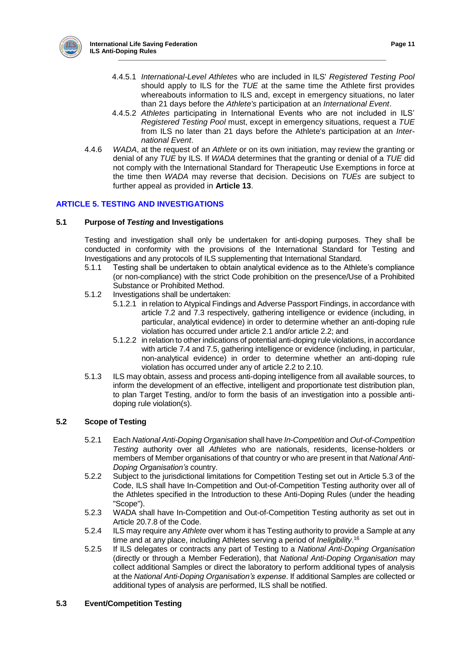

- 4.4.5.1 *International-Level Athletes* who are included in ILS' *Registered Testing Pool* should apply to ILS for the *TUE* at the same time the Athlete first provides whereabouts information to ILS and, except in emergency situations, no later than 21 days before the *Athlete's* participation at an *International Event*.
- 4.4.5.2 *Athletes* participating in International Events who are not included in ILS' *Registered Testing Pool* must, except in emergency situations, request a *TUE* from ILS no later than 21 days before the Athlete's participation at an *International Event*.
- 4.4.6 *WADA*, at the request of an *Athlete* or on its own initiation, may review the granting or denial of any *TUE* by ILS. If *WADA* determines that the granting or denial of a *TUE* did not comply with the International Standard for Therapeutic Use Exemptions in force at the time then *WADA* may reverse that decision. Decisions on *TUEs* are subject to further appeal as provided in **Article 13**.

## **ARTICLE 5. TESTING AND INVESTIGATIONS**

## **5.1 Purpose of** *Testing* **and Investigations**

Testing and investigation shall only be undertaken for anti-doping purposes. They shall be conducted in conformity with the provisions of the International Standard for Testing and Investigations and any protocols of ILS supplementing that International Standard.

- 5.1.1 Testing shall be undertaken to obtain analytical evidence as to the Athlete's compliance (or non-compliance) with the strict Code prohibition on the presence/Use of a Prohibited Substance or Prohibited Method.
- 5.1.2 Investigations shall be undertaken:
	- 5.1.2.1 in relation to Atypical Findings and Adverse Passport Findings, in accordance with article 7.2 and 7.3 respectively, gathering intelligence or evidence (including, in particular, analytical evidence) in order to determine whether an anti-doping rule violation has occurred under article 2.1 and/or article 2.2; and
	- 5.1.2.2 in relation to other indications of potential anti-doping rule violations, in accordance with article 7.4 and 7.5, gathering intelligence or evidence (including, in particular, non-analytical evidence) in order to determine whether an anti-doping rule violation has occurred under any of article 2.2 to 2.10.
- 5.1.3 ILS may obtain, assess and process anti-doping intelligence from all available sources, to inform the development of an effective, intelligent and proportionate test distribution plan, to plan Target Testing, and/or to form the basis of an investigation into a possible antidoping rule violation(s).

## **5.2 Scope of Testing**

- 5.2.1 Each *National Anti-Doping Organisation* shall have *In-Competition* and *Out-of-Competition Testing* authority over all *Athletes* who are nationals, residents, license-holders or members of Member organisations of that country or who are present in that *National Anti-Doping Organisation's* country.
- 5.2.2 Subject to the jurisdictional limitations for Competition Testing set out in Article 5.3 of the Code, ILS shall have In-Competition and Out-of-Competition Testing authority over all of the Athletes specified in the Introduction to these Anti-Doping Rules (under the heading "Scope").
- 5.2.3 WADA shall have In-Competition and Out-of-Competition Testing authority as set out in Article 20.7.8 of the Code.
- 5.2.4 ILS may require any *Athlete* over whom it has Testing authority to provide a Sample at any time and at any place, including Athletes serving a period of *Ineligibility*. 16
- 5.2.5 If ILS delegates or contracts any part of Testing to a *National Anti-Doping Organisation* (directly or through a Member Federation), that *National Anti-Doping Organisation* may collect additional Samples or direct the laboratory to perform additional types of analysis at the *National Anti-Doping Organisation's expense*. If additional Samples are collected or additional types of analysis are performed, ILS shall be notified.

## **5.3 Event/Competition Testing**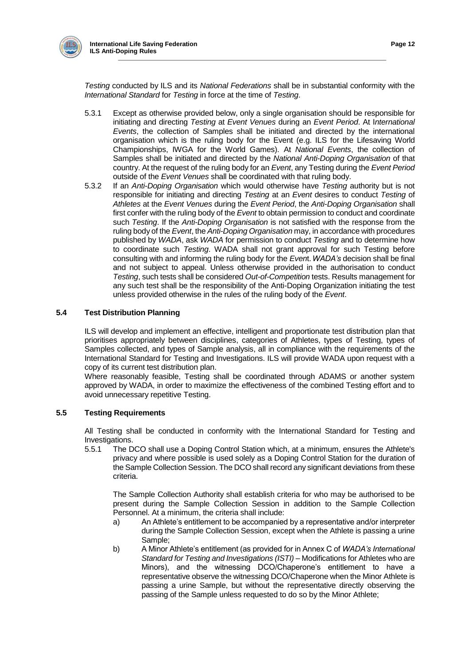

*Testing* conducted by ILS and its *National Federations* shall be in substantial conformity with the *International Standard* for *Testing* in force at the time of *Testing*.

- 5.3.1 Except as otherwise provided below, only a single organisation should be responsible for initiating and directing *Testing* at *Event Venues* during an *Event Period*. At I*nternational Events*, the collection of Samples shall be initiated and directed by the international organisation which is the ruling body for the Event (e.g. ILS for the Lifesaving World Championships, IWGA for the World Games). At *National Events*, the collection of Samples shall be initiated and directed by the *National Anti-Doping Organisation* of that country. At the request of the ruling body for an *Event*, any Testing during the *Event Period* outside of the *Event Venues* shall be coordinated with that ruling body.
- 5.3.2 If an *Anti-Doping Organisation* which would otherwise have *Testing* authority but is not responsible for initiating and directing *Testing* at an *Event* desires to conduct *Testing* of *Athletes* at the *Event Venues* during the *Event Period*, the *Anti-Doping Organisation* shall first confer with the ruling body of the *Event* to obtain permission to conduct and coordinate such *Testing*. If the *Anti-Doping Organisation* is not satisfied with the response from the ruling body of the *Event*, the *Anti-Doping Organisation* may, in accordance with procedures published by *WADA*, ask *WADA* for permission to conduct *Testing* and to determine how to coordinate such *Testing*. WADA shall not grant approval for such Testing before consulting with and informing the ruling body for the *Even*t.*WADA's* decision shall be final and not subject to appeal. Unless otherwise provided in the authorisation to conduct *Testing*, such tests shall be considered *Out-of-Competition* tests. Results management for any such test shall be the responsibility of the Anti-Doping Organization initiating the test unless provided otherwise in the rules of the ruling body of the *Event*.

## **5.4 Test Distribution Planning**

ILS will develop and implement an effective, intelligent and proportionate test distribution plan that prioritises appropriately between disciplines, categories of Athletes, types of Testing, types of Samples collected, and types of Sample analysis, all in compliance with the requirements of the International Standard for Testing and Investigations. ILS will provide WADA upon request with a copy of its current test distribution plan.

Where reasonably feasible, Testing shall be coordinated through ADAMS or another system approved by WADA, in order to maximize the effectiveness of the combined Testing effort and to avoid unnecessary repetitive Testing.

## **5.5 Testing Requirements**

All Testing shall be conducted in conformity with the International Standard for Testing and

Investigations.<br>5.5.1 The D The DCO shall use a Doping Control Station which, at a minimum, ensures the Athlete's privacy and where possible is used solely as a Doping Control Station for the duration of the Sample Collection Session. The DCO shall record any significant deviations from these criteria.

The Sample Collection Authority shall establish criteria for who may be authorised to be present during the Sample Collection Session in addition to the Sample Collection Personnel. At a minimum, the criteria shall include:

- a) An Athlete's entitlement to be accompanied by a representative and/or interpreter during the Sample Collection Session, except when the Athlete is passing a urine Sample;
- b) A Minor Athlete's entitlement (as provided for in Annex C of *WADA's International Standard for Testing and Investigations (ISTI)* – Modifications for Athletes who are Minors), and the witnessing DCO/Chaperone's entitlement to have a representative observe the witnessing DCO/Chaperone when the Minor Athlete is passing a urine Sample, but without the representative directly observing the passing of the Sample unless requested to do so by the Minor Athlete;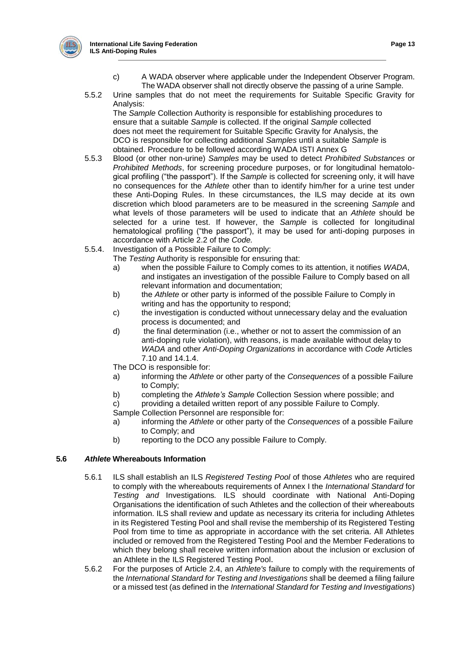

- c) A WADA observer where applicable under the Independent Observer Program. The WADA observer shall not directly observe the passing of a urine Sample.
- 5.5.2 Urine samples that do not meet the requirements for Suitable Specific Gravity for Analysis:

The *Sample* Collection Authority is responsible for establishing procedures to ensure that a suitable *Sample* is collected. If the original *Sample* collected does not meet the requirement for Suitable Specific Gravity for Analysis, the DCO is responsible for collecting additional *Samples* until a suitable *Sample* is obtained. Procedure to be followed according WADA ISTI Annex G

- 5.5.3 Blood (or other non-urine) *Samples* may be used to detect *Prohibited Substances* or *Prohibited Methods*, for screening procedure purposes, or for longitudinal hematological profiling ("the passport"). If the *Sample* is collected for screening only, it will have no consequences for the *Athlete* other than to identify him/her for a urine test under these Anti-Doping Rules. In these circumstances, the ILS may decide at its own discretion which blood parameters are to be measured in the screening *Sample* and what levels of those parameters will be used to indicate that an *Athlete* should be selected for a urine test. If however, the *Sample* is collected for longitudinal hematological profiling ("the passport"), it may be used for anti-doping purposes in accordance with Article 2.2 of the *Code.*
- 5.5.4. Investigation of a Possible Failure to Comply:
	- The *Testing* Authority is responsible for ensuring that:
		- a) when the possible Failure to Comply comes to its attention, it notifies *WADA*, and instigates an investigation of the possible Failure to Comply based on all relevant information and documentation;
		- b) the *Athlete* or other party is informed of the possible Failure to Comply in writing and has the opportunity to respond;
		- c) the investigation is conducted without unnecessary delay and the evaluation process is documented; and
		- d) the final determination (i.e., whether or not to assert the commission of an anti-doping rule violation), with reasons, is made available without delay to *WADA* and other *Anti-Doping Organizations* in accordance with *Code* Articles 7.10 and 14.1.4.
		- The DCO is responsible for:
		- a) informing the *Athlete* or other party of the *Consequences* of a possible Failure to Comply;
		- b) completing the *Athlete's Sample* Collection Session where possible; and
	- c) providing a detailed written report of any possible Failure to Comply.
	- Sample Collection Personnel are responsible for:
	- a) informing the *Athlete* or other party of the *Consequences* of a possible Failure to Comply; and
	- b) reporting to the DCO any possible Failure to Comply.

## **5.6** *Athlete* **Whereabouts Information**

- 5.6.1 ILS shall establish an ILS *Registered Testing Pool* of those *Athletes* who are required to comply with the whereabouts requirements of Annex I the *International Standard* for *Testing and* Investigations*.* ILS should coordinate with National Anti-Doping Organisations the identification of such Athletes and the collection of their whereabouts information. ILS shall review and update as necessary its criteria for including Athletes in its Registered Testing Pool and shall revise the membership of its Registered Testing Pool from time to time as appropriate in accordance with the set criteria. All Athletes included or removed from the Registered Testing Pool and the Member Federations to which they belong shall receive written information about the inclusion or exclusion of an Athlete in the ILS Registered Testing Pool.
- 5.6.2 For the purposes of Article 2.4, an *Athlete's* failure to comply with the requirements of the *International Standard for Testing and Investigations* shall be deemed a filing failure or a missed test (as defined in the *International Standard for Testing and Investigations*)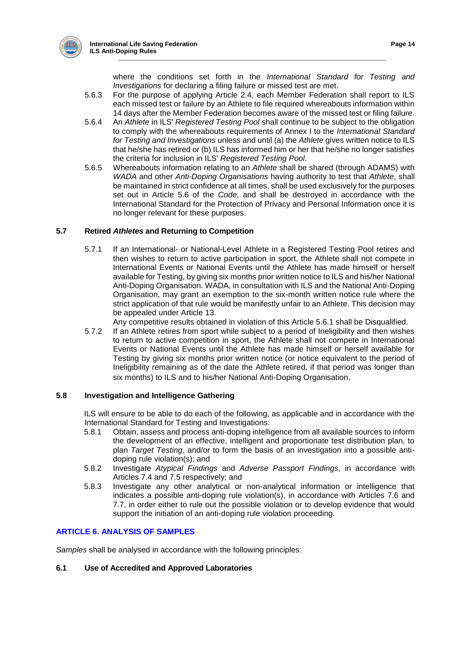

where the conditions set forth in the *International Standard for Testing and Investigations* for declaring a filing failure or missed test are met.

- 5.6.3 For the purpose of applying Article 2.4, each Member Federation shall report to ILS each missed test or failure by an Athlete to file required whereabouts information within 14 days after the Member Federation becomes aware of the missed test or filing failure.
- 5.6.4 An *Athlete* in ILS' *Registered Testing Pool* shall continue to be subject to the obligation to comply with the whereabouts requirements of Annex I to the *International Standard for Testing and Investigations* unless and until (a) the *Athlete* gives written notice to ILS that he/she has retired or (b) ILS has informed him or her that he/she no longer satisfies the criteria for inclusion in ILS' *Registered Testing Pool*.
- 5.6.5 Whereabouts information relating to an *Athlete* shall be shared (through ADAMS) with *WADA* and other *Anti-Doping Organisations* having authority to test that *Athlete*, shall be maintained in strict confidence at all times, shall be used exclusively for the purposes set out in Article 5.6 of the *Code*, and shall be destroyed in accordance with the International Standard for the Protection of Privacy and Personal Information once it is no longer relevant for these purposes.

## **5.7 Retired** *Athletes* **and Returning to Competition**

- 5.7.1 If an International- or National-Level Athlete in a Registered Testing Pool retires and then wishes to return to active participation in sport, the Athlete shall not compete in International Events or National Events until the Athlete has made himself or herself available for Testing, by giving six months prior written notice to ILS and his/her National Anti-Doping Organisation. WADA, in consultation with ILS and the National Anti-Doping Organisation, may grant an exemption to the six-month written notice rule where the strict application of that rule would be manifestly unfair to an Athlete. This decision may be appealed under Article 13.
	- Any competitive results obtained in violation of this Article 5.6.1 shall be Disqualified.
- 5.7.2 If an Athlete retires from sport while subject to a period of Ineligibility and then wishes to return to active competition in sport, the Athlete shall not compete in International Events or National Events until the Athlete has made himself or herself available for Testing by giving six months prior written notice (or notice equivalent to the period of Ineligibility remaining as of the date the Athlete retired, if that period was longer than six months) to ILS and to his/her National Anti-Doping Organisation.

## **5.8 Investigation and Intelligence Gathering**

ILS will ensure to be able to do each of the following, as applicable and in accordance with the International Standard for Testing and Investigations:

- 5.8.1 Obtain, assess and process anti-doping intelligence from all available sources to inform the development of an effective, intelligent and proportionate test distribution plan, to plan *Target Testing*, and/or to form the basis of an investigation into a possible antidoping rule violation(s); and
- 5.8.2 Investigate *Atypical Findings* and *Adverse Passport Findings*, in accordance with Articles 7.4 and 7.5 respectively; and
- 5.8.3 Investigate any other analytical or non-analytical information or intelligence that indicates a possible anti-doping rule violation(s), in accordance with Articles 7.6 and 7.7, in order either to rule out the possible violation or to develop evidence that would support the initiation of an anti-doping rule violation proceeding.

## **ARTICLE 6. ANALYSIS OF SAMPLES**

*Samples* shall be analysed in accordance with the following principles:

## **6.1 Use of Accredited and Approved Laboratories**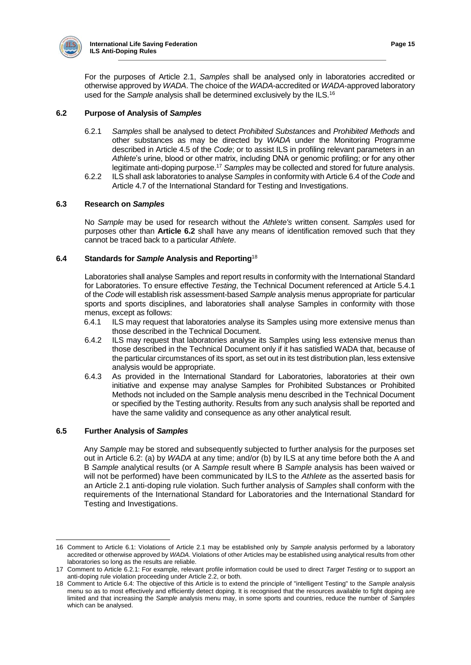

For the purposes of Article 2.1, *Samples* shall be analysed only in laboratories accredited or otherwise approved by *WADA*. The choice of the *WADA*-accredited or *WADA*-approved laboratory used for the *Sample* analysis shall be determined exclusively by the ILS.<sup>16</sup>

## **6.2 Purpose of Analysis of** *Samples*

- 6.2.1 *Samples* shall be analysed to detect *Prohibited Substances* and *Prohibited Methods* and other substances as may be directed by *WADA* under the Monitoring Programme described in Article 4.5 of the *Code*; or to assist ILS in profiling relevant parameters in an *Athlete*'s urine, blood or other matrix, including DNA or genomic profiling; or for any other legitimate anti-doping purpose.<sup>17</sup> *Samples* may be collected and stored for future analysis.
- 6.2.2 ILS shall ask laboratories to analyse *Samples* in conformity with Article 6.4 of the *Code* and Article 4.7 of the International Standard for Testing and Investigations.

## **6.3 Research on** *Samples*

No *Sample* may be used for research without the *Athlete's* written consent. *Samples* used for purposes other than **Article 6.2** shall have any means of identification removed such that they cannot be traced back to a particular *Athlete*.

## **6.4 Standards for** *Sample* **Analysis and Reporting**<sup>18</sup>

Laboratories shall analyse Samples and report results in conformity with the International Standard for Laboratories. To ensure effective *Testing*, the Technical Document referenced at Article 5.4.1 of the *Code* will establish risk assessment-based *Sample* analysis menus appropriate for particular sports and sports disciplines, and laboratories shall analyse Samples in conformity with those menus, except as follows:

- 6.4.1 ILS may request that laboratories analyse its Samples using more extensive menus than those described in the Technical Document.
- 6.4.2 ILS may request that laboratories analyse its Samples using less extensive menus than those described in the Technical Document only if it has satisfied WADA that, because of the particular circumstances of its sport, as set out in its test distribution plan, less extensive analysis would be appropriate.
- 6.4.3 As provided in the International Standard for Laboratories, laboratories at their own initiative and expense may analyse Samples for Prohibited Substances or Prohibited Methods not included on the Sample analysis menu described in the Technical Document or specified by the Testing authority. Results from any such analysis shall be reported and have the same validity and consequence as any other analytical result.

## **6.5 Further Analysis of** *Samples*

Any *Sample* may be stored and subsequently subjected to further analysis for the purposes set out in Article 6.2: (a) by *WADA* at any time; and/or (b) by ILS at any time before both the A and B *Sample* analytical results (or A *Sample* result where B *Sample* analysis has been waived or will not be performed) have been communicated by ILS to the *Athlete* as the asserted basis for an Article 2.1 anti-doping rule violation. Such further analysis of *Samples* shall conform with the requirements of the International Standard for Laboratories and the International Standard for Testing and Investigations.

 16 Comment to Article 6.1: Violations of Article 2.1 may be established only by *Sample* analysis performed by a laboratory accredited or otherwise approved by *WADA*. Violations of other Articles may be established using analytical results from other laboratories so long as the results are reliable.

<sup>17</sup> Comment to Article 6.2.1: For example, relevant profile information could be used to direct *Target Testing* or to support an anti-doping rule violation proceeding under Article 2.2, or both.

<sup>18</sup> Comment to Article 6.4: The objective of this Article is to extend the principle of "intelligent Testing" to the *Sample* analysis menu so as to most effectively and efficiently detect doping. It is recognised that the resources available to fight doping are limited and that increasing the *Sample* analysis menu may, in some sports and countries, reduce the number of *Samples* which can be analysed.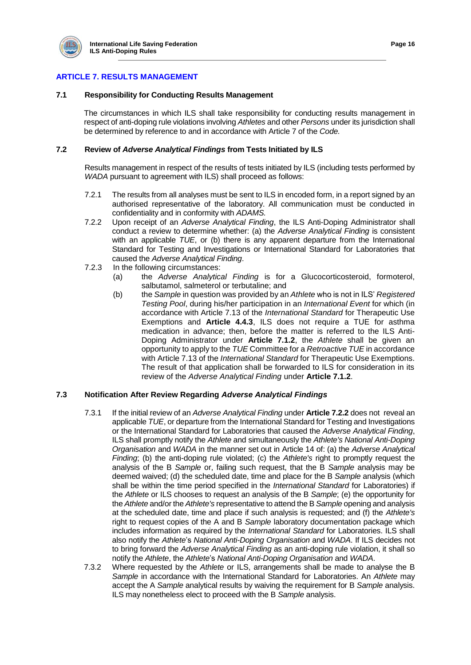

# **ARTICLE 7. RESULTS MANAGEMENT**

## **7.1 Responsibility for Conducting Results Management**

The circumstances in which ILS shall take responsibility for conducting results management in respect of anti-doping rule violations involving *Athletes* and other *Persons* under its jurisdiction shall be determined by reference to and in accordance with Article 7 of the *Code.*

## **7.2 Review of** *Adverse Analytical Findings* **from Tests Initiated by ILS**

Results management in respect of the results of tests initiated by ILS (including tests performed by *WADA* pursuant to agreement with ILS) shall proceed as follows:

- 7.2.1 The results from all analyses must be sent to ILS in encoded form, in a report signed by an authorised representative of the laboratory. All communication must be conducted in confidentiality and in conformity with *ADAMS.*
- 7.2.2 Upon receipt of an *Adverse Analytical Finding*, the ILS Anti-Doping Administrator shall conduct a review to determine whether: (a) the *Adverse Analytical Finding* is consistent with an applicable *TUE*, or (b) there is any apparent departure from the International Standard for Testing and Investigations or International Standard for Laboratories that caused the *Adverse Analytical Finding*.
- 7.2.3 In the following circumstances:
	- (a) the *Adverse Analytical Finding* is for a Glucocorticosteroid, formoterol, salbutamol, salmeterol or terbutaline; and
	- (b) the *Sample* in question was provided by an *Athlete* who is not in ILS' *Registered Testing Pool*, during his/her participation in an *International Event* for which (in accordance with Article 7.13 of the *International Standard* for Therapeutic Use Exemptions and **Article 4.4.3**, ILS does not require a TUE for asthma medication in advance; then, before the matter is referred to the ILS Anti-Doping Administrator under **Article 7.1.2**, the *Athlete* shall be given an opportunity to apply to the *TUE* Committee for a *Retroactive TUE* in accordance with Article 7.13 of the *International Standard* for Therapeutic Use Exemptions. The result of that application shall be forwarded to ILS for consideration in its review of the *Adverse Analytical Finding* under **Article 7.1.2**.

## **7.3 Notification After Review Regarding** *Adverse Analytical Findings*

- 7.3.1 If the initial review of an *Adverse Analytical Finding* under **Article 7.2.2** does not reveal an applicable *TUE*, or departure from the International Standard for Testing and Investigations or the International Standard for Laboratories that caused the *Adverse Analytical Finding*, ILS shall promptly notify the *Athlete* and simultaneously the *Athlete's National Anti-Doping Organisation* and *WADA* in the manner set out in Article 14 of: (a) the *Adverse Analytical Finding*; (b) the anti-doping rule violated; (c) the *Athlete's* right to promptly request the analysis of the B *Sample* or, failing such request, that the B *Sample* analysis may be deemed waived; (d) the scheduled date, time and place for the B *Sample* analysis (which shall be within the time period specified in the *International Standard* for Laboratories) if the *Athlete* or ILS chooses to request an analysis of the B *Sample*; (e) the opportunity for the *Athlete* and/or the *Athlete's* representative to attend the B *Sample* opening and analysis at the scheduled date, time and place if such analysis is requested; and (f) the *Athlete's* right to request copies of the A and B *Sample* laboratory documentation package which includes information as required by the *International Standard* for Laboratories. ILS shall also notify the *Athlete*'s *National Anti-Doping Organisation* and *WADA*. If ILS decides not to bring forward the *Adverse Analytical Finding* as an anti-doping rule violation, it shall so notify the *Athlete*, the *Athlete*'s *National Anti-Doping Organisation* and *WADA*.
- 7.3.2 Where requested by the *Athlete* or ILS, arrangements shall be made to analyse the B *Sample* in accordance with the International Standard for Laboratories. An *Athlete* may accept the A *Sample* analytical results by waiving the requirement for B *Sample* analysis. ILS may nonetheless elect to proceed with the B *Sample* analysis.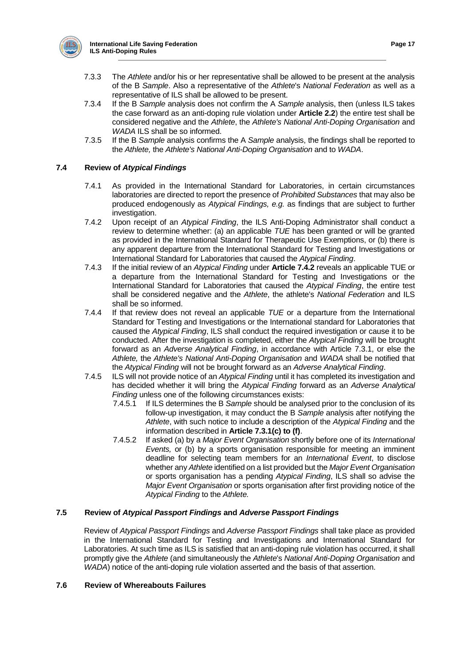

- 7.3.3 The *Athlete* and/or his or her representative shall be allowed to be present at the analysis of the B *Sample*. Also a representative of the *Athlete*'s *National Federation* as well as a representative of ILS shall be allowed to be present.
- 7.3.4 If the B *Sample* analysis does not confirm the A *Sample* analysis, then (unless ILS takes the case forward as an anti-doping rule violation under **Article 2.2**) the entire test shall be considered negative and the *Athlete*, the *Athlete's National Anti-Doping Organisation* and *WADA* ILS shall be so informed.
- 7.3.5 If the B *Sample* analysis confirms the A *Sample* analysis, the findings shall be reported to the *Athlete,* the *Athlete's National Anti-Doping Organisation* and to *WADA*.

## **7.4 Review of** *Atypical Findings*

- 7.4.1 As provided in the International Standard for Laboratories, in certain circumstances laboratories are directed to report the presence of *Prohibited Substances* that may also be produced endogenously as *Atypical Findings, e.g.* as findings that are subject to further investigation.
- 7.4.2 Upon receipt of an *Atypical Finding*, the ILS Anti-Doping Administrator shall conduct a review to determine whether: (a) an applicable *TUE* has been granted or will be granted as provided in the International Standard for Therapeutic Use Exemptions, or (b) there is any apparent departure from the International Standard for Testing and Investigations or International Standard for Laboratories that caused the *Atypical Finding*.
- 7.4.3 If the initial review of an *Atypical Finding* under **Article 7.4.2** reveals an applicable TUE or a departure from the International Standard for Testing and Investigations or the International Standard for Laboratories that caused the *Atypical Finding*, the entire test shall be considered negative and the *Athlete*, the athlete's *National Federation* and ILS shall be so informed.
- 7.4.4 If that review does not reveal an applicable *TUE* or a departure from the International Standard for Testing and Investigations or the International standard for Laboratories that caused the *Atypical Finding*, ILS shall conduct the required investigation or cause it to be conducted. After the investigation is completed, either the *Atypical Finding* will be brought forward as an *Adverse Analytical Finding*, in accordance with Article 7.3.1, or else the *Athlete,* the *Athlete's National Anti-Doping Organisation* and *WADA* shall be notified that the *Atypical Finding* will not be brought forward as an *Adverse Analytical Finding*.
- 7.4.5 ILS will not provide notice of an *Atypical Finding* until it has completed its investigation and has decided whether it will bring the *Atypical Finding* forward as an *Adverse Analytical Finding* unless one of the following circumstances exists:<br>7.4.5.1 If ILS determines the B *Sample* should be analy
	- 7.4.5.1 If ILS determines the B *Sample* should be analysed prior to the conclusion of its follow-up investigation, it may conduct the B *Sample* analysis after notifying the *Athlete*, with such notice to include a description of the *Atypical Finding* and the information described in **Article 7.3.1(c) to (f)**.
	- 7.4.5.2 If asked (a) by a *Major Event Organisation* shortly before one of its *International Events,* or (b) by a sports organisation responsible for meeting an imminent deadline for selecting team members for an *International Event*, to disclose whether any *Athlete* identified on a list provided but the *Major Event Organisation*  or sports organisation has a pending *Atypical Finding*, ILS shall so advise the *Major Event Organisation* or sports organisation after first providing notice of the *Atypical Finding* to the *Athlete.*

## **7.5 Review of** *Atypical Passport Findings* **and** *Adverse Passport Findings*

Review of *Atypical Passport Findings* and *Adverse Passport Findings* shall take place as provided in the International Standard for Testing and Investigations and International Standard for Laboratories. At such time as ILS is satisfied that an anti-doping rule violation has occurred, it shall promptly give the *Athlete* (and simultaneously the *Athlete*'s *National Anti-Doping Organisation* and *WADA*) notice of the anti-doping rule violation asserted and the basis of that assertion.

## **7.6 Review of Whereabouts Failures**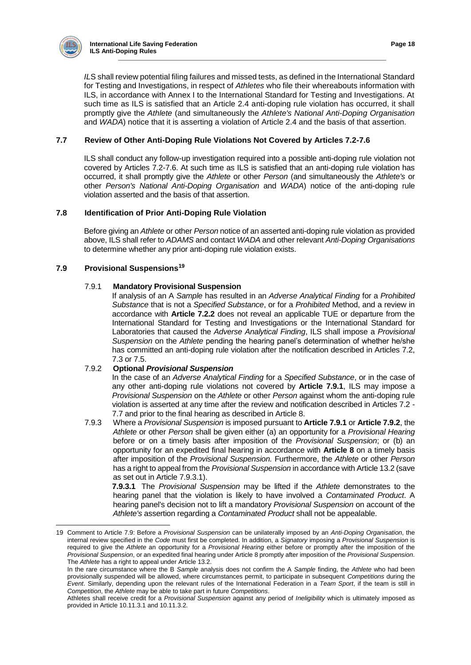

*IL*S shall review potential filing failures and missed tests, as defined in the International Standard for Testing and Investigations, in respect of *Athletes* who file their whereabouts information with ILS, in accordance with Annex I to the International Standard for Testing and Investigations. At such time as ILS is satisfied that an Article 2.4 anti-doping rule violation has occurred, it shall promptly give the *Athlete* (and simultaneously the *Athlete's National Anti-Doping Organisation* and *WADA*) notice that it is asserting a violation of Article 2.4 and the basis of that assertion.

## **7.7 Review of Other Anti-Doping Rule Violations Not Covered by Articles 7.2-7.6**

ILS shall conduct any follow-up investigation required into a possible anti-doping rule violation not covered by Articles 7.2-7.6. At such time as ILS is satisfied that an anti-doping rule violation has occurred, it shall promptly give the *Athlete* or other *Person* (and simultaneously the *Athlete's* or other *Person's National Anti-Doping Organisation* and *WADA*) notice of the anti-doping rule violation asserted and the basis of that assertion.

## **7.8 Identification of Prior Anti-Doping Rule Violation**

Before giving an *Athlete* or other *Person* notice of an asserted anti-doping rule violation as provided above, ILS shall refer to *ADAMS* and contact *WADA* and other relevant *Anti-Doping Organisations*  to determine whether any prior anti-doping rule violation exists.

## **7.9 Provisional Suspensions<sup>19</sup>**

## 7.9.1 **Mandatory Provisional Suspension**

If analysis of an A *Sample* has resulted in an *Adverse Analytical Finding* for a *Prohibited Substance* that is not a *Specified Substance*, or for a *Prohibited* Method, and a review in accordance with **Article 7.2.2** does not reveal an applicable TUE or departure from the International Standard for Testing and Investigations or the International Standard for Laboratories that caused the *Adverse Analytical Finding*, ILS shall impose a *Provisional Suspension* on the *Athlete* pending the hearing panel's determination of whether he/she has committed an anti-doping rule violation after the notification described in Articles 7.2, 7.3 or 7.5.

## 7.9.2 **Optional** *Provisional Suspension*

In the case of an *Adverse Analytical Finding* for a *Specified Substance*, or in the case of any other anti-doping rule violations not covered by **Article 7.9.1**, ILS may impose a *Provisional Suspension* on the *Athlete* or other *Person* against whom the anti-doping rule violation is asserted at any time after the review and notification described in Articles 7.2 - 7.7 and prior to the final hearing as described in Article 8.

7.9.3 Where a *Provisional Suspension* is imposed pursuant to **Article 7.9.1** or **Article 7.9.2**, the *Athlete* or other *Person* shall be given either (a) an opportunity for a *Provisional Hearing*  before or on a timely basis after imposition of the *Provisional Suspension*; or (b) an opportunity for an expedited final hearing in accordance with **Article 8** on a timely basis after imposition of the *Provisional Suspension.* Furthermore, the *Athlete* or other *Person*  has a right to appeal from the *Provisional Suspension* in accordance with Article 13.2 (save as set out in Article 7.9.3.1).

**7.9.3.1** The *Provisional Suspension* may be lifted if the *Athlete* demonstrates to the hearing panel that the violation is likely to have involved a *Contaminated Product*. A hearing panel's decision not to lift a mandatory *Provisional Suspension* on account of the *Athlete's* assertion regarding a *Contaminated Product* shall not be appealable.

<sup>19</sup> Comment to Article 7.9: Before a *Provisional Suspension* can be unilaterally imposed by an *Anti-Doping Organisation*, the internal review specified in the *Code* must first be completed. In addition, a *Signatory* imposing a *Provisional Suspension* is required to give the *Athlete* an opportunity for a *Provisional Hearing* either before or promptly after the imposition of the *Provisional Suspension*, or an expedited final hearing under Article 8 promptly after imposition of the *Provisional Suspension*. The *Athlete* has a right to appeal under Article 13.2.

In the rare circumstance where the B *Sample* analysis does not confirm the A *Sample* finding, the *Athlete* who had been provisionally suspended will be allowed, where circumstances permit, to participate in subsequent *Competitions* during the *Event*. Similarly, depending upon the relevant rules of the International Federation in a *Team Sport*, if the team is still in *Competition*, the *Athlete* may be able to take part in future *Competitions*.

Athletes shall receive credit for a *Provisional Suspension* against any period of *Ineligibility* which is ultimately imposed as provided in Article 10.11.3.1 and 10.11.3.2.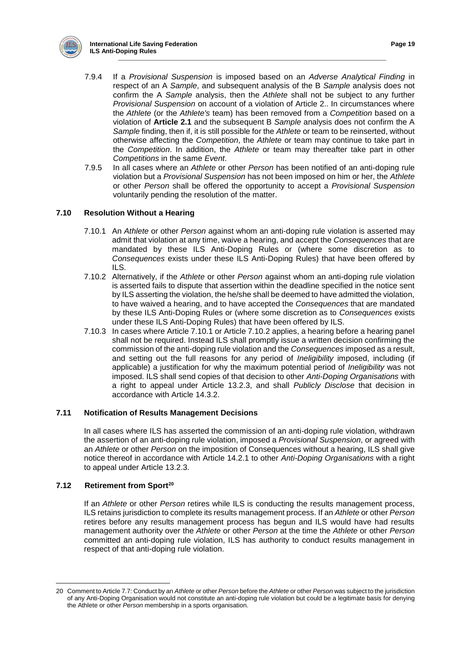

- 7.9.4 If a *Provisional Suspension* is imposed based on an *Adverse Analytical Finding* in respect of an A *Sample*, and subsequent analysis of the B *Sample* analysis does not confirm the A *Sample* analysis, then the *Athlete* shall not be subject to any further *Provisional Suspension* on account of a violation of Article 2.. In circumstances where the *Athlete* (or the *Athlete's* team) has been removed from a *Competition* based on a violation of **Article 2.1** and the subsequent B *Sample* analysis does not confirm the A *Sample* finding, then if, it is still possible for the *Athlete* or team to be reinserted, without otherwise affecting the *Competition*, the *Athlete* or team may continue to take part in the *Competition*. In addition, the *Athlete* or team may thereafter take part in other *Competitions* in the same *Event*.
- 7.9.5 In all cases where an *Athlete* or other *Person* has been notified of an anti-doping rule violation but a *Provisional Suspension* has not been imposed on him or her, the *Athlete*  or other *Person* shall be offered the opportunity to accept a *Provisional Suspension*  voluntarily pending the resolution of the matter.

## **7.10 Resolution Without a Hearing**

- 7.10.1 An *Athlete* or other *Person* against whom an anti-doping rule violation is asserted may admit that violation at any time, waive a hearing, and accept the *Consequences* that are mandated by these ILS Anti-Doping Rules or (where some discretion as to *Consequences* exists under these ILS Anti-Doping Rules) that have been offered by ILS.
- 7.10.2 Alternatively, if the *Athlete* or other *Person* against whom an anti-doping rule violation is asserted fails to dispute that assertion within the deadline specified in the notice sent by ILS asserting the violation, the he/she shall be deemed to have admitted the violation, to have waived a hearing, and to have accepted the *Consequences* that are mandated by these ILS Anti-Doping Rules or (where some discretion as to *Consequences* exists under these ILS Anti-Doping Rules) that have been offered by ILS.
- 7.10.3 In cases where Article 7.10.1 or Article 7.10.2 applies, a hearing before a hearing panel shall not be required. Instead ILS shall promptly issue a written decision confirming the commission of the anti-doping rule violation and the *Consequences* imposed as a result, and setting out the full reasons for any period of *Ineligibility* imposed, including (if applicable) a justification for why the maximum potential period of *Ineligibility* was not imposed. ILS shall send copies of that decision to other *Anti-Doping Organisations* with a right to appeal under Article 13.2.3, and shall *Publicly Disclose* that decision in accordance with Article 14.3.2.

## **7.11 Notification of Results Management Decisions**

In all cases where ILS has asserted the commission of an anti-doping rule violation, withdrawn the assertion of an anti-doping rule violation, imposed a *Provisional Suspension*, or agreed with an *Athlete* or other *Person* on the imposition of Consequences without a hearing, ILS shall give notice thereof in accordance with Article 14.2.1 to other *Anti-Doping Organisations* with a right to appeal under Article 13.2.3.

#### **7.12 Retirement from Sport<sup>20</sup>**

If an *Athlete* or other *Person* retires while ILS is conducting the results management process, ILS retains jurisdiction to complete its results management process. If an *Athlete* or other *Person*  retires before any results management process has begun and ILS would have had results management authority over the *Athlete* or other *Person* at the time the *Athlete* or other *Person* committed an anti-doping rule violation, ILS has authority to conduct results management in respect of that anti-doping rule violation.

 20 Comment to Article 7.7: Conduct by an *Athlete* or other *Person* before the *Athlete* or other *Person* was subject to the jurisdiction of any Anti-Doping Organisation would not constitute an anti-doping rule violation but could be a legitimate basis for denying the Athlete or other *Person* membership in a sports organisation.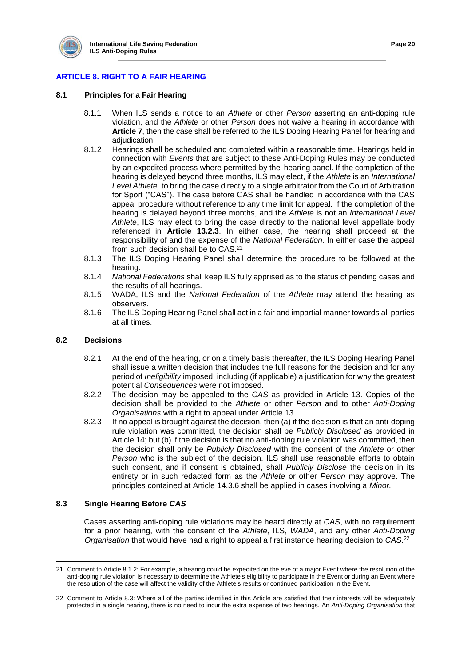

# **ARTICLE 8. RIGHT TO A FAIR HEARING**

## **8.1 Principles for a Fair Hearing**

- 8.1.1 When ILS sends a notice to an *Athlete* or other *Person* asserting an anti-doping rule violation, and the *Athlete* or other *Person* does not waive a hearing in accordance with **Article 7**, then the case shall be referred to the ILS Doping Hearing Panel for hearing and adjudication.
- 8.1.2 Hearings shall be scheduled and completed within a reasonable time. Hearings held in connection with *Events* that are subject to these Anti-Doping Rules may be conducted by an expedited process where permitted by the hearing panel. If the completion of the hearing is delayed beyond three months, ILS may elect, if the *Athlete* is an *International Level Athlete,* to bring the case directly to a single arbitrator from the Court of Arbitration for Sport ("CAS"). The case before CAS shall be handled in accordance with the CAS appeal procedure without reference to any time limit for appeal. If the completion of the hearing is delayed beyond three months, and the *Athlete* is not an *International Level Athlete*, ILS may elect to bring the case directly to the national level appellate body referenced in **Article 13.2.3**. In either case, the hearing shall proceed at the responsibility of and the expense of the *National Federation*. In either case the appeal from such decision shall be to CAS.<sup>21</sup>
- 8.1.3 The ILS Doping Hearing Panel shall determine the procedure to be followed at the hearing.
- 8.1.4 *National Federations* shall keep ILS fully apprised as to the status of pending cases and the results of all hearings.
- 8.1.5 WADA, ILS and the *National Federation* of the *Athlete* may attend the hearing as observers.
- 8.1.6 The ILS Doping Hearing Panel shall act in a fair and impartial manner towards all parties at all times.

#### **8.2 Decisions**

- 8.2.1 At the end of the hearing, or on a timely basis thereafter, the ILS Doping Hearing Panel shall issue a written decision that includes the full reasons for the decision and for any period of *Ineligibility* imposed, including (if applicable) a justification for why the greatest potential *Consequences* were not imposed.
- 8.2.2 The decision may be appealed to the *CAS* as provided in Article 13. Copies of the decision shall be provided to the *Athlete* or other *Person* and to other *Anti-Doping Organisations* with a right to appeal under Article 13.
- 8.2.3 If no appeal is brought against the decision, then (a) if the decision is that an anti-doping rule violation was committed, the decision shall be *Publicly Disclosed* as provided in Article 14; but (b) if the decision is that no anti-doping rule violation was committed, then the decision shall only be *Publicly Disclosed* with the consent of the *Athlete* or other *Person* who is the subject of the decision. ILS shall use reasonable efforts to obtain such consent, and if consent is obtained, shall *Publicly Disclose* the decision in its entirety or in such redacted form as the *Athlete* or other *Person* may approve. The principles contained at Article 14.3.6 shall be applied in cases involving a *Minor.*

#### **8.3 Single Hearing Before** *CAS*

Cases asserting anti-doping rule violations may be heard directly at *CAS*, with no requirement for a prior hearing, with the consent of the *Athlete*, ILS, *WADA*, and any other *Anti-Doping Organisation* that would have had a right to appeal a first instance hearing decision to *CAS*. 22

 21 Comment to Article 8.1.2: For example, a hearing could be expedited on the eve of a major Event where the resolution of the anti-doping rule violation is necessary to determine the Athlete's eligibility to participate in the Event or during an Event where the resolution of the case will affect the validity of the Athlete's results or continued participation in the Event.

<sup>22</sup> Comment to Article 8.3: Where all of the parties identified in this Article are satisfied that their interests will be adequately protected in a single hearing, there is no need to incur the extra expense of two hearings. An *Anti-Doping Organisation* that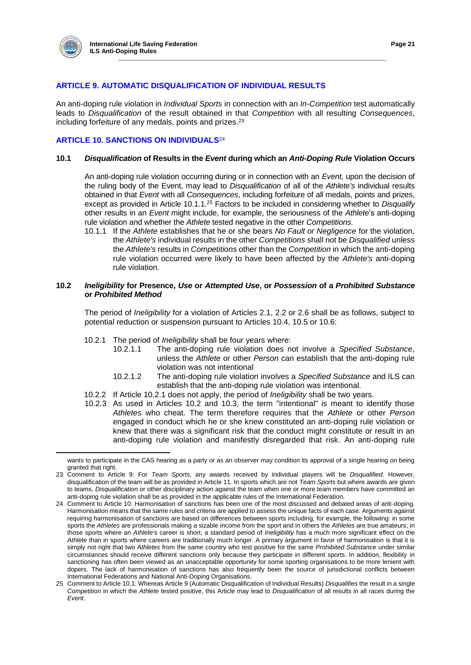

 $\overline{a}$ 

## **ARTICLE 9. AUTOMATIC DISQUALIFICATION OF INDIVIDUAL RESULTS**

An anti-doping rule violation in *Individual Sports* in connection with an *In-Competition* test automatically leads to *Disqualification* of the result obtained in that *Competition* with all resulting *Consequences*, including forfeiture of any medals, points and prizes.<sup>23</sup>

## **ARTICLE 10. SANCTIONS ON INDIVIDUALS**<sup>24</sup>

## **10.1** *Disqualification* **of Results in the** *Event* **during which an** *Anti-Doping Rule* **Violation Occurs**

An anti-doping rule violation occurring during or in connection with an *Event,* upon the decision of the ruling body of the Event, may lead to *Disqualification* of all of the *Athlete's* individual results obtained in that *Event* with all *Consequences*, including forfeiture of all medals, points and prizes, except as provided in Article 10.1.1.<sup>25</sup> Factors to be included in considering whether to *Disqualify*  other results in an *Event* might include, for example, the seriousness of the *Athlete*'s anti-doping rule violation and whether the *Athlete* tested negative in the other *Competitions.*

10.1.1 If the *Athlete* establishes that he or she bears *No Fault or Negligence* for the violation, the *Athlete's* individual results in the other *Competitions* shall not be *Disqualified* unless the *Athlete's* results in *Competitions* other than the *Competition* in which the anti-doping rule violation occurred were likely to have been affected by the *Athlete's* anti-doping rule violation.

## **10.2** *Ineligibility* **for Presence,** *Use* **or** *Attempted Use***, or** *Possession* **of a** *Prohibited Substance*  **or** *Prohibited Method*

The period of *Ineligibility* for a violation of Articles 2.1, 2.2 or 2.6 shall be as follows, subject to potential reduction or suspension pursuant to Articles 10.4, 10.5 or 10.6:

- 10.2.1 The period of *Ineligibility* shall be four years where:
	- The anti-doping rule violation does not involve a *Specified Substance*, unless the *Athlete* or other *Person* can establish that the anti-doping rule violation was not intentional
	- 10.2.1.2 The anti-doping rule violation involves a *Specified Substance* and ILS can establish that the anti-doping rule violation was intentional.
- 10.2.2 If Article 10.2.1 does not apply, the period of *Ineligibility* shall be two years.
- 10.2.3 As used in Articles 10.2 and 10.3, the term "intentional" is meant to identify those *Athletes* who cheat. The term therefore requires that the *Athlete* or other *Person*  engaged in conduct which he or she knew constituted an anti-doping rule violation or knew that there was a significant risk that the conduct might constitute or result in an anti-doping rule violation and manifestly disregarded that risk. An anti-doping rule

wants to participate in the CAS hearing as a party or as an observer may condition its approval of a single hearing on being granted that right.

<sup>23</sup> Comment to Article 9: For *Team Sports*, any awards received by individual players will be *Disqualified*. However, disqualification of the team will be as provided in Article 11. In sports which are not *Team Sports* but where awards are given to teams, *Disqualification* or other disciplinary action against the team when one or more team members have committed an anti-doping rule violation shall be as provided in the applicable rules of the International Federation.

<sup>24</sup> Comment to Article 10: Harmonisation of sanctions has been one of the most discussed and debated areas of anti-doping. Harmonisation means that the same rules and criteria are applied to assess the unique facts of each case. Arguments against requiring harmonisation of sanctions are based on differences between sports including, for example, the following: in some sports the *Athletes* are professionals making a sizable income from the sport and in others the *Athletes* are true amateurs; in those sports where an *Athlete*'s career is short, a standard period of *Ineligibility* has a much more significant effect on the *Athlete* than in sports where careers are traditionally much longer. A primary argument in favor of harmonisation is that it is simply not right that two *Athletes* from the same country who test positive for the same *Prohibited Substance* under similar circumstances should receive different sanctions only because they participate in different sports. In addition, flexibility in sanctioning has often been viewed as an unacceptable opportunity for some sporting organisations to be more lenient with dopers. The lack of harmonisation of sanctions has also frequently been the source of jurisdictional conflicts between International Federations and National Anti-Doping Organisations.

<sup>25</sup> Comment to Article 10.1: Whereas Article 9 (Automatic Disqualification of Individual Results) *Disqualifies* the result in a single *Competition* in which the *Athlete* tested positive, this Article may lead to *Disqualification* of all results in all races during the *Event*.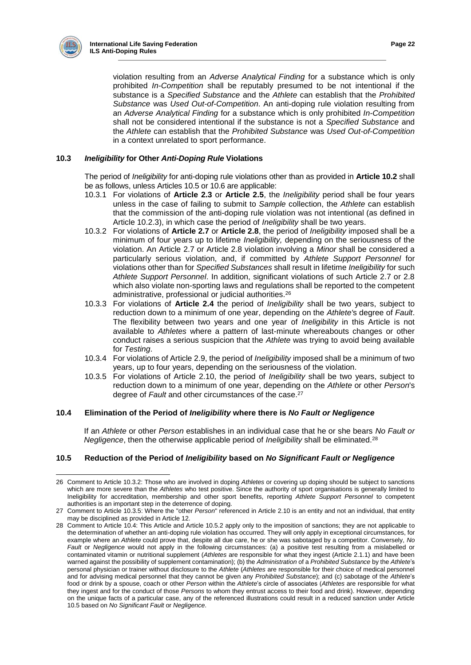

violation resulting from an *Adverse Analytical Finding* for a substance which is only prohibited *In-Competition* shall be reputably presumed to be not intentional if the substance is a *Specified Substance* and the *Athlete* can establish that the *Prohibited Substance* was *Used Out-of-Competition*. An anti-doping rule violation resulting from an *Adverse Analytical Finding* for a substance which is only prohibited *In-Competition* shall not be considered intentional if the substance is not a *Specified Substance* and the *Athlete* can establish that the *Prohibited Substance* was *Used Out-of-Competition*  in a context unrelated to sport performance.

## **10.3** *Ineligibility* **for Other** *Anti-Doping Rule* **Violations**

The period of *Ineligibility* for anti-doping rule violations other than as provided in **Article 10.2** shall be as follows, unless Articles 10.5 or 10.6 are applicable:

- 10.3.1 For violations of **Article 2.3** or **Article 2.5**, the *Ineligibility* period shall be four years unless in the case of failing to submit to *Sample* collection, the *Athlete* can establish that the commission of the anti-doping rule violation was not intentional (as defined in Article 10.2.3), in which case the period of *Ineligibility* shall be two years.
- 10.3.2 For violations of **Article 2.7** or **Article 2.8**, the period of *Ineligibility* imposed shall be a minimum of four years up to lifetime *Ineligibility,* depending on the seriousness of the violation. An Article 2.7 or Article 2.8 violation involving a *Minor* shall be considered a particularly serious violation, and, if committed by *Athlete Support Personnel* for violations other than for *Specified Substances* shall result in lifetime *Ineligibility* for such *Athlete Support Personnel*. In addition, significant violations of such Article 2.7 or 2.8 which also violate non-sporting laws and regulations shall be reported to the competent administrative, professional or judicial authorities.<sup>26</sup>
- 10.3.3 For violations of **Article 2.4** the period of *Ineligibility* shall be two years, subject to reduction down to a minimum of one year, depending on the *Athlete'*s degree of *Fault*. The flexibility between two years and one year of *Ineligibility* in this Article is not available to *Athletes* where a pattern of last-minute whereabouts changes or other conduct raises a serious suspicion that the *Athlete* was trying to avoid being available for *Testing*.
- 10.3.4 For violations of Article 2.9, the period of *Ineligibility* imposed shall be a minimum of two years, up to four years, depending on the seriousness of the violation.
- 10.3.5 For violations of Article 2.10, the period of *Ineligibility* shall be two years, subject to reduction down to a minimum of one year, depending on the *Athlete* or other *Person*'s degree of *Fault* and other circumstances of the case.<sup>27</sup>

## **10.4 Elimination of the Period of** *Ineligibility* **where there is** *No Fault or Negligence*

If an *Athlete* or other *Person* establishes in an individual case that he or she bears *No Fault or Negligence*, then the otherwise applicable period of *Ineligibility* shall be eliminated.<sup>28</sup>

## **10.5 Reduction of the Period of** *Ineligibility* **based on** *No Significant Fault or Negligence*

 $\overline{a}$ 26 Comment to Article 10.3.2: Those who are involved in doping *Athletes* or covering up doping should be subject to sanctions which are more severe than the *Athletes* who test positive. Since the authority of sport organisations is generally limited to Ineligibility for accreditation, membership and other sport benefits, reporting *Athlete Support Personnel* to competent authorities is an important step in the deterrence of doping.

<sup>27</sup> Comment to Article 10.3.5: Where the "other *Person*" referenced in Article 2.10 is an entity and not an individual, that entity may be disciplined as provided in Article 12.

<sup>28</sup> Comment to Article 10.4: This Article and Article 10.5.2 apply only to the imposition of sanctions; they are not applicable to the determination of whether an anti-doping rule violation has occurred. They will only apply in exceptional circumstances, for example where an *Athlete* could prove that, despite all due care, he or she was sabotaged by a competitor. Conversely, *No Fault* or *Negligence* would not apply in the following circumstances: (a) a positive test resulting from a mislabelled or contaminated vitamin or nutritional supplement (*Athletes* are responsible for what they ingest (Article 2.1.1) and have been warned against the possibility of supplement contamination); (b) the *Administration* of a *Prohibited Substance* by the *Athlete*'s personal physician or trainer without disclosure to the *Athlete* (*Athletes* are responsible for their choice of medical personnel and for advising medical personnel that they cannot be given any *Prohibited Substance*); and (c) sabotage of the *Athlete*'s food or drink by a spouse, coach or other *Person* within the *Athlete*'s circle of associates (*Athletes* are responsible for what they ingest and for the conduct of those *Persons* to whom they entrust access to their food and drink). However, depending on the unique facts of a particular case, any of the referenced illustrations could result in a reduced sanction under Article 10.5 based on *No Significant Fault* or *Negligence*.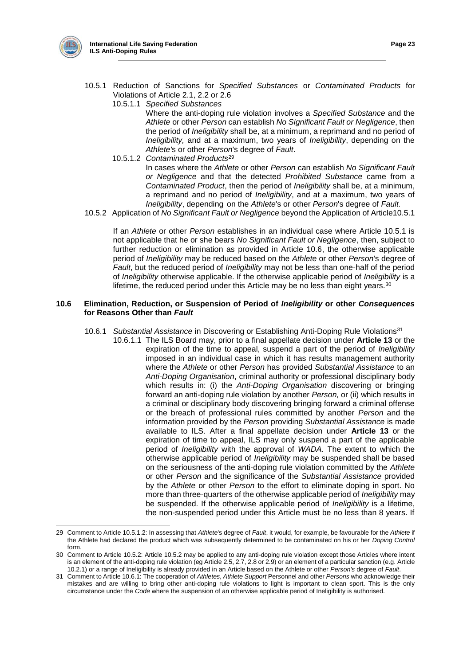

- 10.5.1 Reduction of Sanctions for *Specified Substances* or *Contaminated Products* for Violations of Article 2.1, 2.2 or 2.6
	- 10.5.1.1 *Specified Substances*

Where the anti-doping rule violation involves a *Specified Substance* and the *Athlete* or other *Person* can establish *No Significant Fault or Negligence*, then the period of *Ineligibility* shall be, at a minimum, a reprimand and no period of *Ineligibility,* and at a maximum, two years of *Ineligibility*, depending on the *Athlete'*s or other *Person*'s degree of *Fault*.

10.5.1.2 *Contaminated Products*<sup>29</sup>

In cases where the *Athlete* or other *Person* can establish *No Significant Fault or Negligence* and that the detected *Prohibited Substance* came from a *Contaminated Product*, then the period of *Ineligibility* shall be, at a minimum, a reprimand and no period of *Ineligibility*, and at a maximum, two years of *Ineligibility*, depending on the *Athlete*'s or other *Person*'s degree of *Fault.*

10.5.2 Application of *No Significant Fault or Negligence* beyond the Application of Article10.5.1

If an *Athlete* or other *Person* establishes in an individual case where Article 10.5.1 is not applicable that he or she bears *No Significant Fault or Negligence*, then, subject to further reduction or elimination as provided in Article 10.6, the otherwise applicable period of *Ineligibility* may be reduced based on the *Athlete* or other *Person*'s degree of *Fault*, but the reduced period of *Ineligibility* may not be less than one-half of the period of *Ineligibility* otherwise applicable. If the otherwise applicable period of *Ineligibility* is a lifetime, the reduced period under this Article may be no less than eight years.<sup>30</sup>

## **10.6 Elimination, Reduction, or Suspension of Period of** *Ineligibility* **or other** *Consequences* **for Reasons Other than** *Fault*

#### 10.6.1 *Substantial Assistance* in Discovering or Establishing Anti-Doping Rule Violations<sup>31</sup>

10.6.1.1 The ILS Board may, prior to a final appellate decision under **Article 13** or the expiration of the time to appeal, suspend a part of the period of *Ineligibility* imposed in an individual case in which it has results management authority where the *Athlete* or other *Person* has provided *Substantial Assistance* to an *Anti-Doping Organisation*, criminal authority or professional disciplinary body which results in: (i) the *Anti-Doping Organisation* discovering or bringing forward an anti-doping rule violation by another *Person,* or (ii) which results in a criminal or disciplinary body discovering bringing forward a criminal offense or the breach of professional rules committed by another *Person* and the information provided by the *Person* providing *Substantial Assistance* is made available to ILS. After a final appellate decision under **Article 13** or the expiration of time to appeal, ILS may only suspend a part of the applicable period of *Ineligibility* with the approval of *WADA*. The extent to which the otherwise applicable period of *Ineligibility* may be suspended shall be based on the seriousness of the anti-doping rule violation committed by the *Athlete* or other *Person* and the significance of the *Substantial Assistance* provided by the *Athlete* or other *Person* to the effort to eliminate doping in sport. No more than three-quarters of the otherwise applicable period of *Ineligibility* may be suspended. If the otherwise applicable period of *Ineligibility* is a lifetime, the non-suspended period under this Article must be no less than 8 years. If

<sup>29</sup> Comment to Article 10.5.1.2: In assessing that *Athlete*'s degree of *Fault*, it would, for example, be favourable for the *Athlete* if the Athlete had declared the product which was subsequently determined to be contaminated on his or her *Doping Control* form.

<sup>30</sup> Comment to Article 10.5.2: Article 10.5.2 may be applied to any anti-doping rule violation except those Articles where intent is an element of the anti-doping rule violation (eg Article 2.5, 2.7, 2.8 or 2.9) or an element of a particular sanction (e.g. Article 10.2.1) or a range of Ineligibility is already provided in an Article based on the Athlete or other *Person's* degree of *Fault*.

<sup>31</sup> Comment to Article 10.6.1: The cooperation of *Athletes*, *Athlete Support* Per*s*onnel and other *Persons* who acknowledge their mistakes and are willing to bring other anti-doping rule violations to light is important to clean sport. This is the only circumstance under the *Code* where the suspension of an otherwise applicable period of Ineligibility is authorised.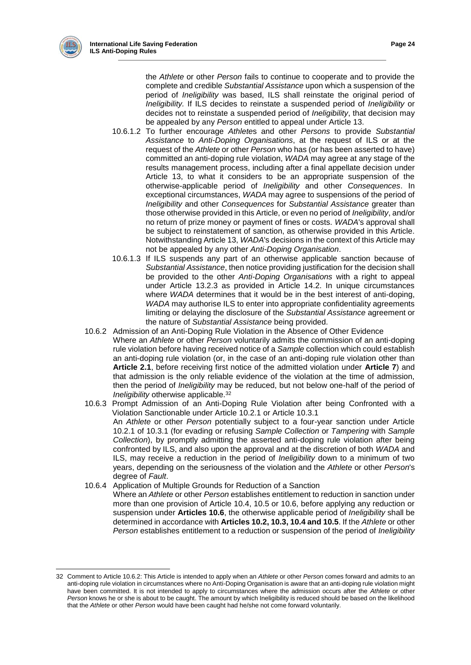the *Athlete* or other *Person* fails to continue to cooperate and to provide the complete and credible *Substantial Assistance* upon which a suspension of the period of *Ineligibility* was based, ILS shall reinstate the original period of *Ineligibility.* If ILS decides to reinstate a suspended period of *Ineligibility* or decides not to reinstate a suspended period of *Ineligibility*, that decision may be appealed by any *Person* entitled to appeal under Article 13.

- 10.6.1.2 To further encourage *Athlete*s and other *Persons* to provide *Substantial Assistance* to *Anti-Doping Organisations*, at the request of ILS or at the request of the *Athlete* or other *Person* who has (or has been asserted to have) committed an anti-doping rule violation, *WADA* may agree at any stage of the results management process, including after a final appellate decision under Article 13, to what it considers to be an appropriate suspension of the otherwise-applicable period of *Ineligibility* and other *Consequences*. In exceptional circumstances, *WADA* may agree to suspensions of the period of *Ineligibility* and other *Consequences* for *Substantial Assistance* greater than those otherwise provided in this Article, or even no period of *Ineligibility*, and/or no return of prize money or payment of fines or costs. *WADA*'s approval shall be subject to reinstatement of sanction, as otherwise provided in this Article. Notwithstanding Article 13, *WADA*'s decisions in the context of this Article may not be appealed by any other *Anti-Doping Organisation*.
- 10.6.1.3 If ILS suspends any part of an otherwise applicable sanction because of *Substantial Assistance*, then notice providing justification for the decision shall be provided to the other *Anti-Doping Organisations* with a right to appeal under Article 13.2.3 as provided in Article 14.2. In unique circumstances where *WADA* determines that it would be in the best interest of anti-doping, *WADA* may authorise ILS to enter into appropriate confidentiality agreements limiting or delaying the disclosure of the *Substantial Assistance* agreement or the nature of *Substantial Assistance* being provided.
- 10.6.2 Admission of an Anti-Doping Rule Violation in the Absence of Other Evidence Where an *Athlete* or other *Person* voluntarily admits the commission of an anti-doping rule violation before having received notice of a *Sample* collection which could establish an anti-doping rule violation (or, in the case of an anti-doping rule violation other than **Article 2.1**, before receiving first notice of the admitted violation under **Article 7**) and that admission is the only reliable evidence of the violation at the time of admission, then the period of *Ineligibility* may be reduced, but not below one-half of the period of *Ineligibility* otherwise applicable.<sup>32</sup>
- 10.6.3 Prompt Admission of an Anti-Doping Rule Violation after being Confronted with a Violation Sanctionable under Article 10.2.1 or Article 10.3.1 An *Athlete* or other *Person* potentially subject to a four-year sanction under Article 10.2.1 of 10.3.1 (for evading or refusing *Sample Collection* or *Tampering* with *Sample Collection*), by promptly admitting the asserted anti-doping rule violation after being confronted by ILS, and also upon the approval and at the discretion of both *WADA* and ILS, may receive a reduction in the period of *Ineligibility* down to a minimum of two years, depending on the seriousness of the violation and the *Athlete* or other *Person*'s degree of *Fault*.
- 10.6.4 Application of Multiple Grounds for Reduction of a Sanction

 $\overline{a}$ 

Where an *Athlete* or other *Person* establishes entitlement to reduction in sanction under more than one provision of Article 10.4, 10.5 or 10.6, before applying any reduction or suspension under **Articles 10.6**, the otherwise applicable period of *Ineligibility* shall be determined in accordance with **Articles 10.2, 10.3, 10.4 and 10.5**. If the *Athlete* or other *Person* establishes entitlement to a reduction or suspension of the period of *Ineligibility*

<sup>32</sup> Comment to Article 10.6.2: This Article is intended to apply when an *Athlete* or other *Person* comes forward and admits to an anti-doping rule violation in circumstances where no Anti-Doping Organisation is aware that an anti-doping rule violation might have been committed. It is not intended to apply to circumstances where the admission occurs after the *Athlete* or other *Person* knows he or she is about to be caught. The amount by which Ineligibility is reduced should be based on the likelihood that the *Athlete* or other *Person* would have been caught had he/she not come forward voluntarily.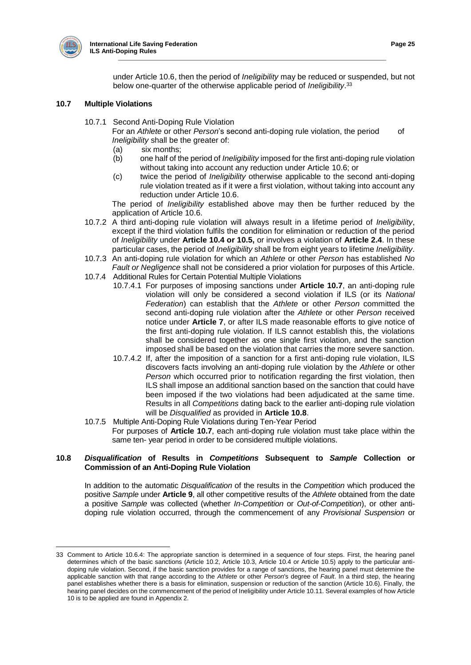

under Article 10.6, then the period of *Ineligibility* may be reduced or suspended, but not below one-quarter of the otherwise applicable period of *Ineligibility*. 33

## **10.7 Multiple Violations**

10.7.1 Second Anti-Doping Rule Violation

For an *Athlete* or other *Person*'s second anti-doping rule violation, the period of *Ineligibility* shall be the greater of:

- (a) six months;<br>(b) one half of the
- (b) one half of the period of *Ineligibility* imposed for the first anti-doping rule violation without taking into account any reduction under Article 10.6; or
- (c) twice the period of *Ineligibility* otherwise applicable to the second anti-doping rule violation treated as if it were a first violation, without taking into account any reduction under Article 10.6.

The period of *Ineligibility* established above may then be further reduced by the application of Article 10.6.

- 10.7.2 A third anti-doping rule violation will always result in a lifetime period of *Ineligibility*, except if the third violation fulfils the condition for elimination or reduction of the period of *Ineligibility* under **Article 10.4 or 10.5,** or involves a violation of **Article 2.4**. In these particular cases, the period of *Ineligibility* shall be from eight years to lifetime *Ineligibility*.
- 10.7.3 An anti-doping rule violation for which an *Athlete* or other *Person* has established *No Fault or Negligence* shall not be considered a prior violation for purposes of this Article.
- 10.7.4 Additional Rules for Certain Potential Multiple Violations
	- 10.7.4.1 For purposes of imposing sanctions under **Article 10.7**, an anti-doping rule violation will only be considered a second violation if ILS (or its *National Federation*) can establish that the *Athlete* or other *Person* committed the second anti-doping rule violation after the *Athlete* or other *Person* received notice under **Article 7**, or after ILS made reasonable efforts to give notice of the first anti-doping rule violation. If ILS cannot establish this, the violations shall be considered together as one single first violation, and the sanction imposed shall be based on the violation that carries the more severe sanction.
	- 10.7.4.2 If, after the imposition of a sanction for a first anti-doping rule violation, ILS discovers facts involving an anti-doping rule violation by the *Athlete* or other *Person* which occurred prior to notification regarding the first violation, then ILS shall impose an additional sanction based on the sanction that could have been imposed if the two violations had been adjudicated at the same time. Results in all *Competitions* dating back to the earlier anti-doping rule violation will be *Disqualified* as provided in **Article 10.8**.
- 10.7.5 Multiple Anti-Doping Rule Violations during Ten-Year Period For purposes of **Article 10.7**, each anti-doping rule violation must take place within the same ten- year period in order to be considered multiple violations.

## **10.8** *Disqualification* **of Results in** *Competitions* **Subsequent to** *Sample* **Collection or Commission of an Anti-Doping Rule Violation**

In addition to the automatic *Disqualification* of the results in the *Competition* which produced the positive *Sample* under **Article 9**, all other competitive results of the *Athlete* obtained from the date a positive *Sample* was collected (whether *In-Competition* or *Out-of-Competition*), or other antidoping rule violation occurred, through the commencement of any *Provisional Suspension* or

<sup>33</sup> Comment to Article 10.6.4: The appropriate sanction is determined in a sequence of four steps. First, the hearing panel determines which of the basic sanctions (Article 10.2, Article 10.3, Article 10.4 or Article 10.5) apply to the particular antidoping rule violation. Second, if the basic sanction provides for a range of sanctions, the hearing panel must determine the applicable sanction with that range according to the *Athlete* or other *Person*'s degree of *Fault*. In a third step, the hearing panel establishes whether there is a basis for elimination, suspension or reduction of the sanction (Article 10.6). Finally, the hearing panel decides on the commencement of the period of Ineligibility under Article 10.11. Several examples of how Article 10 is to be applied are found in Appendix 2.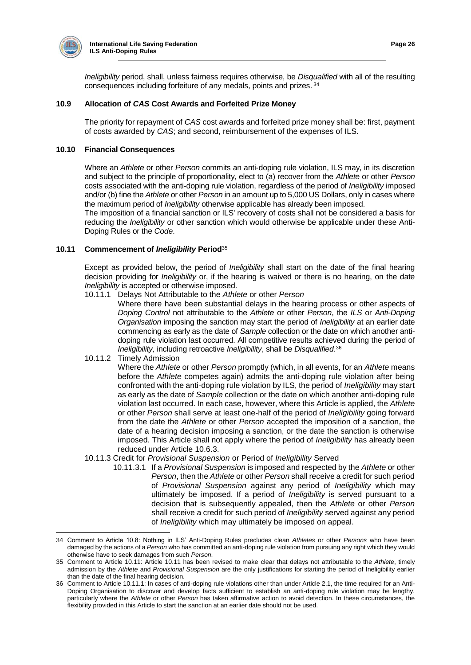

*Ineligibility* period, shall, unless fairness requires otherwise, be *Disqualified* with all of the resulting consequences including forfeiture of any medals, points and prizes. <sup>34</sup>

## **10.9 Allocation of** *CAS* **Cost Awards and Forfeited Prize Money**

The priority for repayment of *CAS* cost awards and forfeited prize money shall be: first, payment of costs awarded by *CAS*; and second, reimbursement of the expenses of ILS.

#### **10.10 Financial Consequences**

Where an *Athlete* or other *Person* commits an anti-doping rule violation, ILS may, in its discretion and subject to the principle of proportionality, elect to (a) recover from the *Athlete* or other *Person*  costs associated with the anti-doping rule violation, regardless of the period of *Ineligibility* imposed and/or (b) fine the *Athlete* or other *Person* in an amount up to 5,000 US Dollars, only in cases where the maximum period of *Ineligibility* otherwise applicable has already been imposed.

The imposition of a financial sanction or ILS' recovery of costs shall not be considered a basis for reducing the *Ineligibility* or other sanction which would otherwise be applicable under these Anti-Doping Rules or the *Code*.

#### **10.11 Commencement of** *Ineligibility* **Period**<sup>35</sup>

Except as provided below, the period of *Ineligibility* shall start on the date of the final hearing decision providing for *Ineligibility* or, if the hearing is waived or there is no hearing, on the date *Ineligibility* is accepted or otherwise imposed.

10.11.1 Delays Not Attributable to the *Athlete* or other *Person*

Where there have been substantial delays in the hearing process or other aspects of *Doping Control* not attributable to the *Athlete* or other *Person*, the *ILS* or *Anti-Doping Organisation* imposing the sanction may start the period of *Ineligibility* at an earlier date commencing as early as the date of *Sample* collection or the date on which another antidoping rule violation last occurred. All competitive results achieved during the period of *Ineligibility,* including retroactive *Ineligibility*, shall be *Disqualified*. 36

10.11.2 Timely Admission

Where the *Athlete* or other *Person* promptly (which, in all events, for an *Athlete* means before the *Athlete* competes again) admits the anti-doping rule violation after being confronted with the anti-doping rule violation by ILS, the period of *Ineligibility* may start as early as the date of *Sample* collection or the date on which another anti-doping rule violation last occurred. In each case, however, where this Article is applied, the *Athlete* or other *Person* shall serve at least one-half of the period of *Ineligibility* going forward from the date the *Athlete* or other *Person* accepted the imposition of a sanction, the date of a hearing decision imposing a sanction, or the date the sanction is otherwise imposed. This Article shall not apply where the period of *Ineligibility* has already been reduced under Article 10.6.3.

- 10.11.3 Credit for *Provisional Suspension* or Period of *Ineligibility* Served
	- 10.11.3.1 If a *Provisional Suspension* is imposed and respected by the *Athlete* or other *Person*, then the *Athlete* or other *Person* shall receive a credit for such period of *Provisional Suspension* against any period of *Ineligibility* which may ultimately be imposed. If a period of *Ineligibility* is served pursuant to a decision that is subsequently appealed, then the *Athlete* or other *Person*  shall receive a credit for such period of *Ineligibility* served against any period of *Ineligibility* which may ultimately be imposed on appeal.

<sup>34</sup> Comment to Article 10.8: Nothing in ILS' Anti-Doping Rules precludes clean *Athletes* or other *Persons* who have been damaged by the actions of a *Person* who has committed an anti-doping rule violation from pursuing any right which they would otherwise have to seek damages from such *Person*.

<sup>35</sup> Comment to Article 10.11: Article 10.11 has been revised to make clear that delays not attributable to the *Athlete*, timely admission by the *Athlete* and *Provisional Suspension* are the only justifications for starting the period of Ineligibility earlier than the date of the final hearing decision.

<sup>36</sup> Comment to Article 10.11.1: In cases of anti-doping rule violations other than under Article 2.1, the time required for an Anti-Doping Organisation to discover and develop facts sufficient to establish an anti-doping rule violation may be lengthy, particularly where the *Athlete* or other *Person* has taken affirmative action to avoid detection. In these circumstances, the flexibility provided in this Article to start the sanction at an earlier date should not be used.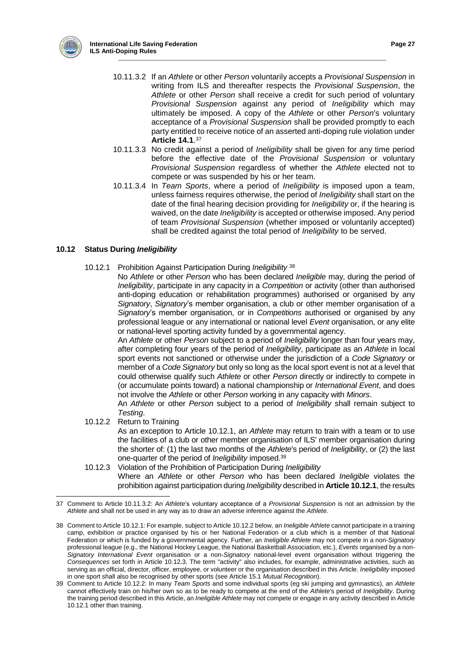

- 10.11.3.2 If an *Athlete* or other *Person* voluntarily accepts a *Provisional Suspension* in writing from ILS and thereafter respects the *Provisional Suspension*, the *Athlete* or other *Person* shall receive a credit for such period of voluntary *Provisional Suspension* against any period of *Ineligibility* which may ultimately be imposed. A copy of the *Athlete* or other *Person*'s voluntary acceptance of a *Provisional Suspension* shall be provided promptly to each party entitled to receive notice of an asserted anti-doping rule violation under **Article 14.1**. 37
- 10.11.3.3 No credit against a period of *Ineligibility* shall be given for any time period before the effective date of the *Provisional Suspension* or voluntary *Provisional Suspension* regardless of whether the *Athlete* elected not to compete or was suspended by his or her team.
- 10.11.3.4 In *Team Sports*, where a period of *Ineligibility* is imposed upon a team, unless fairness requires otherwise, the period of *Ineligibility* shall start on the date of the final hearing decision providing for *Ineligibility* or, if the hearing is waived, on the date *Ineligibility* is accepted or otherwise imposed. Any period of team *Provisional Suspension* (whether imposed or voluntarily accepted) shall be credited against the total period of *Ineligibility* to be served.

## **10.12 Status During** *Ineligibility*

- 10.12.1 Prohibition Against Participation During *Ineligibility* <sup>38</sup>
	- No *Athlete* or other *Person* who has been declared *Ineligible* may, during the period of *Ineligibility*, participate in any capacity in a *Competition* or activity (other than authorised anti-doping education or rehabilitation programmes) authorised or organised by any *Signatory*, *Signatory*'s member organisation, a club or other member organisation of a *Signatory*'s member organisation, or in *Competitions* authorised or organised by any professional league or any international or national level *Event* organisation, or any elite or national-level sporting activity funded by a governmental agency.

An *Athlete* or other *Person* subject to a period of *Ineligibility* longer than four years may, after completing four years of the period of *Ineligibility*, participate as an *Athlete* in local sport events not sanctioned or otherwise under the jurisdiction of a *Code Signatory* or member of a *Code Signatory* but only so long as the local sport event is not at a level that could otherwise qualify such *Athlete* or other *Person* directly or indirectly to compete in (or accumulate points toward) a national championship or *International Event*, and does not involve the *Athlete* or other *Person* working in any capacity with *Minors*.

An *Athlete* or other *Person* subject to a period of *Ineligibility* shall remain subject to *Testing*.

10.12.2 Return to Training

As an exception to Article 10.12.1, an *Athlete* may return to train with a team or to use the facilities of a club or other member organisation of ILS' member organisation during the shorter of: (1) the last two months of the *Athlete*'s period of *Ineligibility*, or (2) the last one-quarter of the period of *Ineligibility* imposed.<sup>39</sup>

10.12.3 Violation of the Prohibition of Participation During *Ineligibility* Where an *Athlete* or other *Person* who has been declared *Ineligible* violates the prohibition against participation during *Ineligibility* described in **Article 10.12.1**, the results

 $\overline{a}$ 37 Comment to Article 10.11.3.2: An *Athlete*'s voluntary acceptance of a *Provisional Suspension* is not an admission by the *Athlete* and shall not be used in any way as to draw an adverse inference against the *Athlete*.

<sup>38</sup> Comment to Article 10.12.1: For example, subject to Article 10.12.2 below, an *Ineligible Athlete* cannot participate in a training camp, exhibition or practice organised by his or her National Federation or a club which is a member of that National Federation or which is funded by a governmental agency. Further, an *Ineligible Athlete* may not compete in a non-*Signatory* professional league (e.g., the National Hockey League, the National Basketball Association, etc.), *Events* organised by a non-*Signatory International Event* organisation or a non-*Signatory* national-level event organisation without triggering the *Consequences* set forth in Article 10.12.3. The term "activity" also includes, for example, administrative activities, such as serving as an official, director, officer, employee, or volunteer or the organisation described in this Article. *Ineligibility* imposed in one sport shall also be recognised by other sports (see Article 15.1 *Mutual Recognition*).

<sup>39</sup> Comment to Article 10.12.2: In many *Team Sports* and some individual sports (eg ski jumping and gymnastics), an *Athlete* cannot effectively train on his/her own so as to be ready to compete at the end of the *Athlete*'s period of *Ineligibility*. During the training period described in this Article, an *Ineligible Athlete* may not compete or engage in any activity described in Article 10.12.1 other than training.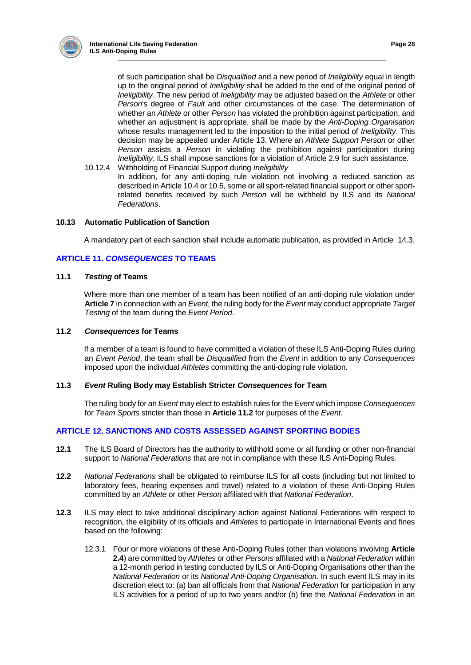

of such participation shall be *Disqualified* and a new period of *Ineligibility* equal in length up to the original period of *Ineligibility* shall be added to the end of the original period of *Ineligibility*. The new period of *Ineligibility* may be adjusted based on the *Athlete* or other *Person*'s degree of *Fault* and other circumstances of the case. The determination of whether an *Athlete* or other *Person* has violated the prohibition against participation, and whether an adjustment is appropriate, shall be made by the *Anti-Doping Organisation* whose results management led to the imposition to the initial period of *Ineligibility*. This decision may be appealed under Article 13. Where an *Athlete Support Person* or other *Person* assists a *Person* in violating the prohibition against participation during *Ineligibility*, ILS shall impose sanctions for a violation of Article 2.9 for such assistance.

10.12.4 Withholding of Financial Support during *Ineligibility* In addition, for any anti-doping rule violation not involving a reduced sanction as described in Article 10.4 or 10.5, some or all sport-related financial support or other sportrelated benefits received by such *Person* will be withheld by ILS and its *National Federations*.

## **10.13 Automatic Publication of Sanction**

A mandatory part of each sanction shall include automatic publication, as provided in Article 14.3.

## **ARTICLE 11.** *CONSEQUENCES* **TO TEAMS**

## **11.1** *Testing* **of Teams**

Where more than one member of a team has been notified of an anti-doping rule violation under **Article 7** in connection with an *Event*, the ruling body for the *Event* may conduct appropriate *Target Testing* of the team during the *Event Period*.

#### **11.2** *Consequences* **for Teams**

If a member of a team is found to have committed a violation of these ILS Anti-Doping Rules during an *Event Period*, the team shall be *Disqualified* from the *Event* in addition to any *Consequences*  imposed upon the individual *Athletes* committing the anti-doping rule violation.

## **11.3** *Event* **Ruling Body may Establish Stricter** *Consequences* **for Team**

The ruling body for an *Event* may elect to establish rules for the *Event* which impose *Consequences*  for *Team Sports* stricter than those in **Article 11.2** for purposes of the *Event*.

## **ARTICLE 12. SANCTIONS AND COSTS ASSESSED AGAINST SPORTING BODIES**

- **12.1** The ILS Board of Directors has the authority to withhold some or all funding or other non-financial support to *National Federations* that are not in compliance with these ILS Anti-Doping Rules.
- **12.2** *National Federations* shall be obligated to reimburse ILS for all costs (including but not limited to laboratory fees, hearing expenses and travel) related to a violation of these Anti-Doping Rules committed by an *Athlete* or other *Person* affiliated with that *National Federation*.
- **12.3** ILS may elect to take additional disciplinary action against National Federations with respect to recognition, the eligibility of its officials and *Athletes* to participate in International Events and fines based on the following:
	- 12.3.1 Four or more violations of these Anti-Doping Rules (other than violations involving **Article 2.4**) are committed by *Athletes* or other *Persons* affiliated with a *National Federation* within a 12-month period in testing conducted by ILS or Anti-Doping Organisations other than the *National Federation* or its *National Anti-Doping Organisation*. In such event ILS may in its discretion elect to: (a) ban all officials from that *National Federation* for participation in any ILS activities for a period of up to two years and/or (b) fine the *National Federation* in an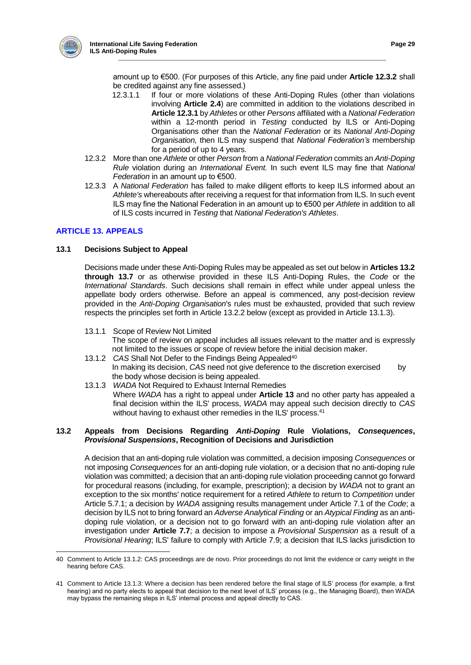

amount up to €500. (For purposes of this Article, any fine paid under **Article 12.3.2** shall be credited against any fine assessed.)

- 12.3.1.1 If four or more violations of these Anti-Doping Rules (other than violations involving **Article 2.4**) are committed in addition to the violations described in **Article 12.3.1** by *Athletes* or other *Persons* affiliated with a *National Federation* within a 12-month period in *Testing* conducted by ILS or Anti-Doping Organisations other than the *National Federation* or its *National Anti-Doping Organisation,* then ILS may suspend that *National Federation's* membership for a period of up to 4 years.
- 12.3.2 More than one *Athlete* or other *Person* from a *National Federation* commits an *Anti-Doping Rule* violation during an *International Event.* In such event ILS may fine that *National Federation* in an amount up to €500.
- 12.3.3 A *National Federation* has failed to make diligent efforts to keep ILS informed about an *Athlete's* whereabouts after receiving a request for that information from ILS. In such event ILS may fine the National Federation in an amount up to €500 per *Athlete* in addition to all of ILS costs incurred in *Testing* that *National Federation's Athletes*.

# **ARTICLE 13. APPEALS**

## **13.1 Decisions Subject to Appeal**

Decisions made under these Anti-Doping Rules may be appealed as set out below in **Articles 13.2 through 13.7** or as otherwise provided in these ILS Anti-Doping Rules, the *Code* or the *International Standards*. Such decisions shall remain in effect while under appeal unless the appellate body orders otherwise. Before an appeal is commenced, any post-decision review provided in the *Anti-Doping Organisation*'s rules must be exhausted, provided that such review respects the principles set forth in Article 13.2.2 below (except as provided in Article 13.1.3).

13.1.1 Scope of Review Not Limited

The scope of review on appeal includes all issues relevant to the matter and is expressly not limited to the issues or scope of review before the initial decision maker.

- 13.1.2 CAS Shall Not Defer to the Findings Being Appealed<sup>40</sup> In making its decision, *CAS* need not give deference to the discretion exercised by the body whose decision is being appealed.
- 13.1.3 *WADA* Not Required to Exhaust Internal Remedies Where *WADA* has a right to appeal under **Article 13** and no other party has appealed a final decision within the ILS' process, *WADA* may appeal such decision directly to *CAS* without having to exhaust other remedies in the ILS' process.<sup>41</sup>

## **13.2 Appeals from Decisions Regarding** *Anti-Doping* **Rule Violations,** *Consequences***,**  *Provisional Suspensions***, Recognition of Decisions and Jurisdiction**

A decision that an anti-doping rule violation was committed, a decision imposing *Consequences* or not imposing *Consequences* for an anti-doping rule violation, or a decision that no anti-doping rule violation was committed; a decision that an anti-doping rule violation proceeding cannot go forward for procedural reasons (including, for example, prescription); a decision by *WADA* not to grant an exception to the six months' notice requirement for a retired *Athlete* to return to *Competition* under Article 5.7.1; a decision by *WADA* assigning results management under Article 7.1 of the *Code*; a decision by ILS not to bring forward an *Adverse Analytical Finding* or an *Atypical Finding* as an antidoping rule violation, or a decision not to go forward with an anti-doping rule violation after an investigation under **Article 7.7**; a decision to impose a *Provisional Suspension* as a result of a *Provisional Hearing*; ILS' failure to comply with Article 7.9; a decision that ILS lacks jurisdiction to

 40 Comment to Article 13.1.2: CAS proceedings are de novo. Prior proceedings do not limit the evidence or carry weight in the hearing before CAS.

<sup>41</sup> Comment to Article 13.1.3: Where a decision has been rendered before the final stage of ILS' process (for example, a first hearing) and no party elects to appeal that decision to the next level of ILS' process (e.g., the Managing Board), then WADA may bypass the remaining steps in ILS' internal process and appeal directly to CAS.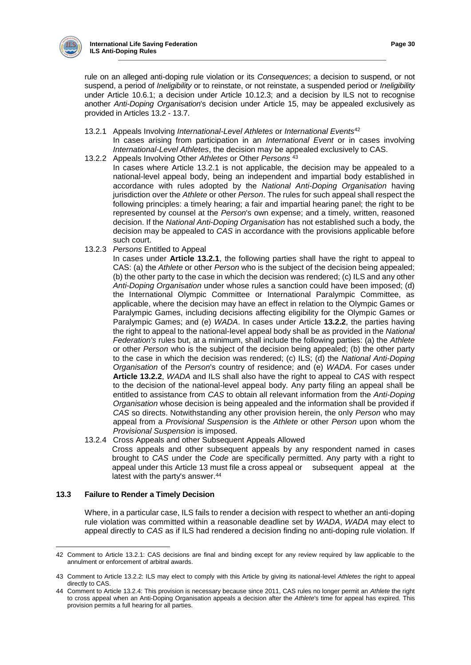

rule on an alleged anti-doping rule violation or its *Consequences*; a decision to suspend, or not suspend, a period of *Ineligibility* or to reinstate, or not reinstate, a suspended period or *Ineligibility*  under Article 10.6.1; a decision under Article 10.12.3; and a decision by ILS not to recognise another *Anti-Doping Organisation*'s decision under Article 15, may be appealed exclusively as provided in Articles 13.2 - 13.7.

- 13.2.1 Appeals Involving *International-Level Athletes* or *International Events*<sup>42</sup> In cases arising from participation in an *International Event* or in cases involving *International-Level Athletes*, the decision may be appealed exclusively to CAS.
- 13.2.2 Appeals Involving Other *Athletes* or Other *Persons* <sup>43</sup>
	- In cases where Article 13.2.1 is not applicable, the decision may be appealed to a national-level appeal body, being an independent and impartial body established in accordance with rules adopted by the *National Anti-Doping Organisation* having jurisdiction over the *Athlete* or other *Person*. The rules for such appeal shall respect the following principles: a timely hearing; a fair and impartial hearing panel; the right to be represented by counsel at the *Person*'s own expense; and a timely, written, reasoned decision. If the *National Anti-Doping Organisation* has not established such a body, the decision may be appealed to *CAS* in accordance with the provisions applicable before such court.
- 13.2.3 *Persons* Entitled to Appeal

In cases under **Article 13.2.1**, the following parties shall have the right to appeal to CAS: (a) the *Athlete* or other *Person* who is the subject of the decision being appealed; (b) the other party to the case in which the decision was rendered; (c) ILS and any other *Anti-Doping Organisation* under whose rules a sanction could have been imposed; (d) the International Olympic Committee or International Paralympic Committee, as applicable, where the decision may have an effect in relation to the Olympic Games or Paralympic Games, including decisions affecting eligibility for the Olympic Games or Paralympic Games; and (e) *WADA*. In cases under Article **13.2.2**, the parties having the right to appeal to the national-level appeal body shall be as provided in the *National Federation's* rules but, at a minimum, shall include the following parties: (a) the *Athlete*  or other *Person* who is the subject of the decision being appealed; (b) the other party to the case in which the decision was rendered; (c) ILS; (d) the *National Anti-Doping Organisation* of the *Person*'s country of residence; and (e) *WADA*. For cases under **Article 13.2.2**, *WADA* and ILS shall also have the right to appeal to *CAS* with respect to the decision of the national-level appeal body. Any party filing an appeal shall be entitled to assistance from *CAS* to obtain all relevant information from the *Anti-Doping Organisation* whose decision is being appealed and the information shall be provided if *CAS* so directs. Notwithstanding any other provision herein, the only *Person* who may appeal from a *Provisional Suspension* is the *Athlete* or other *Person* upon whom the *Provisional Suspension* is imposed.

13.2.4 Cross Appeals and other Subsequent Appeals Allowed

Cross appeals and other subsequent appeals by any respondent named in cases brought to *CAS* under the *Code* are specifically permitted. Any party with a right to appeal under this Article 13 must file a cross appeal or subsequent appeal at the latest with the party's answer.<sup>44</sup>

## **13.3 Failure to Render a Timely Decision**

Where, in a particular case, ILS fails to render a decision with respect to whether an anti-doping rule violation was committed within a reasonable deadline set by *WADA*, *WADA* may elect to appeal directly to *CAS* as if ILS had rendered a decision finding no anti-doping rule violation. If

 42 Comment to Article 13.2.1: CAS decisions are final and binding except for any review required by law applicable to the annulment or enforcement of arbitral awards.

<sup>43</sup> Comment to Article 13.2.2: ILS may elect to comply with this Article by giving its national-level *Athletes* the right to appeal directly to CAS.

<sup>44</sup> Comment to Article 13.2.4: This provision is necessary because since 2011, CAS rules no longer permit an *Athlete* the right to cross appeal when an Anti-Doping Organisation appeals a decision after the *Athlete*'s time for appeal has expired. This provision permits a full hearing for all parties.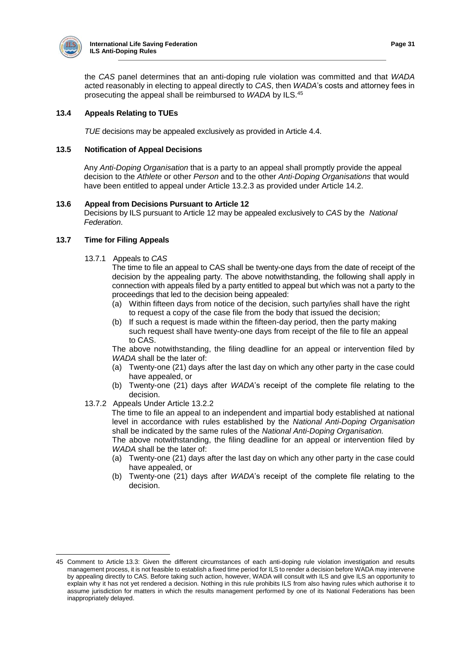

 $\overline{a}$ 

the *CAS* panel determines that an anti-doping rule violation was committed and that *WADA* acted reasonably in electing to appeal directly to *CAS*, then *WADA*'s costs and attorney fees in prosecuting the appeal shall be reimbursed to *WADA* by ILS.<sup>45</sup>

## **13.4 Appeals Relating to TUEs**

*TUE* decisions may be appealed exclusively as provided in Article 4.4.

## **13.5 Notification of Appeal Decisions**

Any *Anti-Doping Organisation* that is a party to an appeal shall promptly provide the appeal decision to the *Athlete* or other *Person* and to the other *Anti-Doping Organisations* that would have been entitled to appeal under Article 13.2.3 as provided under Article 14.2.

## **13.6 Appeal from Decisions Pursuant to Article 12**

Decisions by ILS pursuant to Article 12 may be appealed exclusively to *CAS* by the *National Federation*.

## **13.7 Time for Filing Appeals**

13.7.1 Appeals to *CAS*

The time to file an appeal to CAS shall be twenty-one days from the date of receipt of the decision by the appealing party. The above notwithstanding, the following shall apply in connection with appeals filed by a party entitled to appeal but which was not a party to the proceedings that led to the decision being appealed:

- (a) Within fifteen days from notice of the decision, such party/ies shall have the right to request a copy of the case file from the body that issued the decision;
- (b) If such a request is made within the fifteen-day period, then the party making such request shall have twenty-one days from receipt of the file to file an appeal to CAS.

The above notwithstanding, the filing deadline for an appeal or intervention filed by *WADA* shall be the later of:

- (a) Twenty-one (21) days after the last day on which any other party in the case could have appealed, or
- (b) Twenty-one (21) days after *WADA*'s receipt of the complete file relating to the decision.
- 13.7.2 Appeals Under Article 13.2.2

The time to file an appeal to an independent and impartial body established at national level in accordance with rules established by the *National Anti-Doping Organisation* shall be indicated by the same rules of the *National Anti-Doping Organisation.*

The above notwithstanding, the filing deadline for an appeal or intervention filed by *WADA* shall be the later of:

- (a) Twenty-one (21) days after the last day on which any other party in the case could have appealed, or
- (b) Twenty-one (21) days after *WADA*'s receipt of the complete file relating to the decision.

<sup>45</sup> Comment to Article 13.3: Given the different circumstances of each anti-doping rule violation investigation and results management process, it is not feasible to establish a fixed time period for ILS to render a decision before WADA may intervene by appealing directly to CAS. Before taking such action, however, WADA will consult with ILS and give ILS an opportunity to explain why it has not yet rendered a decision. Nothing in this rule prohibits ILS from also having rules which authorise it to assume jurisdiction for matters in which the results management performed by one of its National Federations has been inappropriately delayed.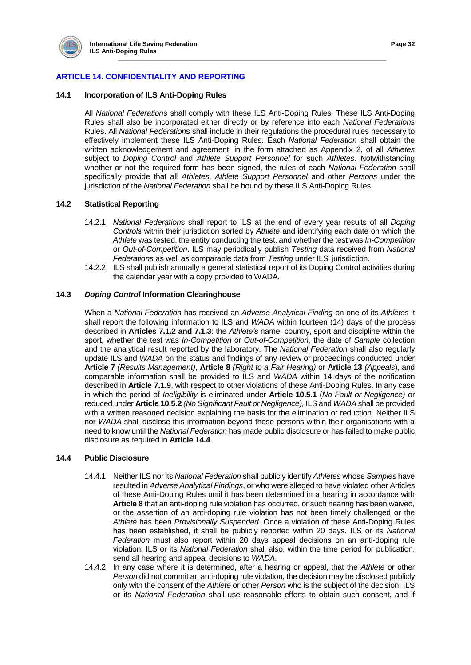

# **ARTICLE 14. CONFIDENTIALITY AND REPORTING**

## **14.1 Incorporation of ILS Anti-Doping Rules**

All *National Federation*s shall comply with these ILS Anti-Doping Rules. These ILS Anti-Doping Rules shall also be incorporated either directly or by reference into each *National Federations* Rules. All *National Federation*s shall include in their regulations the procedural rules necessary to effectively implement these ILS Anti-Doping Rules. Each *National Federation* shall obtain the written acknowledgement and agreement, in the form attached as Appendix 2, of all *Athletes* subject to *Doping Control* and *Athlete Support Personnel* for such *Athletes*. Notwithstanding whether or not the required form has been signed, the rules of each *National Federation* shall specifically provide that all *Athletes*, *Athlete Support Personnel* and other *Persons* under the jurisdiction of the *National Federation* shall be bound by these ILS Anti-Doping Rules.

## **14.2 Statistical Reporting**

- 14.2.1 *National Federation*s shall report to ILS at the end of every year results of all *Doping Control*s within their jurisdiction sorted by *Athlete* and identifying each date on which the *Athlete* was tested, the entity conducting the test, and whether the test was *In-Competition* or *Out-of-Competition*. ILS may periodically publish *Testing* data received from *National Federations* as well as comparable data from *Testing* under ILS' jurisdiction.
- 14.2.2 ILS shall publish annually a general statistical report of its Doping Control activities during the calendar year with a copy provided to WADA.

## **14.3** *Doping Control* **Information Clearinghouse**

When a *National Federation* has received an *Adverse Analytical Finding* on one of its *Athletes* it shall report the following information to ILS and *WADA* within fourteen (14) days of the process described in **Articles 7.1.2 and 7.1.3**: the *Athlete's* name, country, sport and discipline within the sport, whether the test was *In-Competition* or *Out-of-Competition,* the date of *Sample* collection and the analytical result reported by the laboratory. The *National Federation* shall also regularly update ILS and *WADA* on the status and findings of any review or proceedings conducted under **Article 7** *(Results Management)*, **Article 8** *(Right to a Fair Hearing)* or **Article 13** *(Appeals*), and comparable information shall be provided to ILS and *WADA* within 14 days of the notification described in **Article 7.1.9**, with respect to other violations of these Anti-Doping Rules. In any case in which the period of *Ineligibility* is eliminated under **Article 10.5.1** (*No Fault or Negligence)* or reduced under **Article 10.5.2** *(No Significant Fault or Negligence),* ILS and *WADA* shall be provided with a written reasoned decision explaining the basis for the elimination or reduction. Neither ILS nor *WADA* shall disclose this information beyond those persons within their organisations with a need to know until the *National Federation* has made public disclosure or has failed to make public disclosure as required in **Article 14.4**.

## **14.4 Public Disclosure**

- 14.4.1 Neither ILS nor its *National Federation* shall publicly identify *Athletes* whose *Samples* have resulted in *Adverse Analytical Findings*, or who were alleged to have violated other Articles of these Anti-Doping Rules until it has been determined in a hearing in accordance with **Article 8** that an anti-doping rule violation has occurred, or such hearing has been waived, or the assertion of an anti-doping rule violation has not been timely challenged or the *Athlete* has been *Provisionally Suspended*. Once a violation of these Anti-Doping Rules has been established, it shall be publicly reported within 20 days. ILS or its *National Federation* must also report within 20 days appeal decisions on an anti-doping rule violation. ILS or its *National Federation* shall also, within the time period for publication, send all hearing and appeal decisions to *WADA*.
- 14.4.2 In any case where it is determined, after a hearing or appeal, that the *Athlete* or other *Person* did not commit an anti-doping rule violation, the decision may be disclosed publicly only with the consent of the *Athlete* or other *Person* who is the subject of the decision. ILS or its *National Federation* shall use reasonable efforts to obtain such consent, and if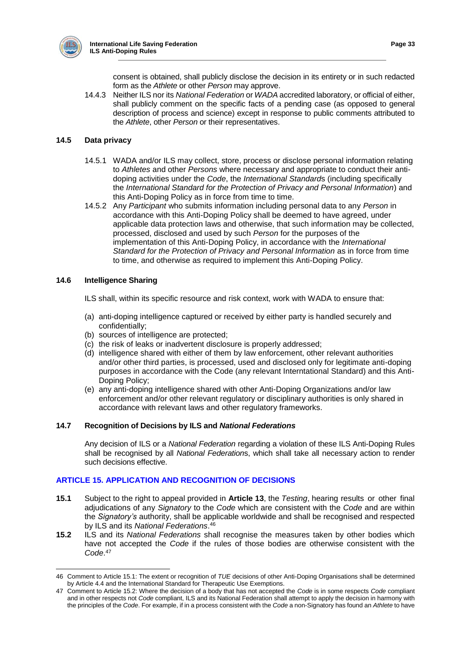

consent is obtained, shall publicly disclose the decision in its entirety or in such redacted form as the *Athlete* or other *Person* may approve.

14.4.3 Neither ILS nor its *National Federation* or *WADA* accredited laboratory, or official of either, shall publicly comment on the specific facts of a pending case (as opposed to general description of process and science) except in response to public comments attributed to the *Athlete*, other *Person* or their representatives.

## **14.5 Data privacy**

- 14.5.1 WADA and/or ILS may collect, store, process or disclose personal information relating to *Athletes* and other *Persons* where necessary and appropriate to conduct their antidoping activities under the *Code*, the *International Standard*s (including specifically the *International Standard for the Protection of Privacy and Personal Information*) and this Anti-Doping Policy as in force from time to time.
- 14.5.2 Any *Participant* who submits information including personal data to any *Person* in accordance with this Anti-Doping Policy shall be deemed to have agreed, under applicable data protection laws and otherwise, that such information may be collected, processed, disclosed and used by such *Person* for the purposes of the implementation of this Anti-Doping Policy, in accordance with the *International Standard for the Protection of Privacy and Personal Information* as in force from time to time, and otherwise as required to implement this Anti-Doping Policy.

## **14.6 Intelligence Sharing**

 $\overline{a}$ 

- ILS shall, within its specific resource and risk context, work with WADA to ensure that:
- (a) anti-doping intelligence captured or received by either party is handled securely and confidentially;
- (b) sources of intelligence are protected;
- (c) the risk of leaks or inadvertent disclosure is properly addressed;
- (d) intelligence shared with either of them by law enforcement, other relevant authorities and/or other third parties, is processed, used and disclosed only for legitimate anti-doping purposes in accordance with the Code (any relevant Interntational Standard) and this Anti-Doping Policy;
- (e) any anti-doping intelligence shared with other Anti-Doping Organizations and/or law enforcement and/or other relevant regulatory or disciplinary authorities is only shared in accordance with relevant laws and other regulatory frameworks.

## **14.7 Recognition of Decisions by ILS and** *National Federations*

Any decision of ILS or a *National Federation* regarding a violation of these ILS Anti-Doping Rules shall be recognised by all *National Federation*s, which shall take all necessary action to render such decisions effective.

## **ARTICLE 15. APPLICATION AND RECOGNITION OF DECISIONS**

- **15.1** Subject to the right to appeal provided in **Article 13**, the *Testing*, hearing results or other final adjudications of any *Signatory* to the *Code* which are consistent with the *Code* and are within the *Signatory's* authority, shall be applicable worldwide and shall be recognised and respected by ILS and its *National Federations*. 46
- **15.2** ILS and its *National Federations* shall recognise the measures taken by other bodies which have not accepted the *Code* if the rules of those bodies are otherwise consistent with the *Code*. 47

<sup>46</sup> Comment to Article 15.1: The extent or recognition of *TUE* decisions of other Anti-Doping Organisations shall be determined by Article 4.4 and the International Standard for Therapeutic Use Exemptions.

<sup>47</sup> Comment to Article 15.2: Where the decision of a body that has not accepted the *Code* is in some respects *Code* compliant and in other respects not *Code* compliant, ILS and its National Federation shall attempt to apply the decision in harmony with the principles of the *Code*. For example, if in a process consistent with the *Code* a non-Signatory has found an *Athlete* to have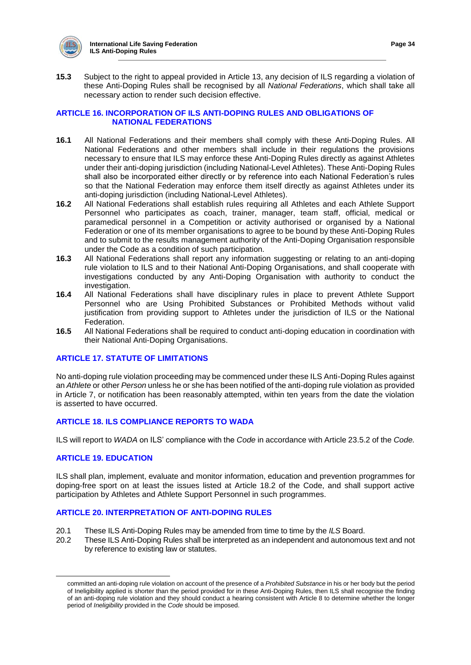

**15.3** Subject to the right to appeal provided in Article 13, any decision of ILS regarding a violation of these Anti-Doping Rules shall be recognised by all *National Federations*, which shall take all necessary action to render such decision effective.

## **ARTICLE 16. INCORPORATION OF ILS ANTI-DOPING RULES AND OBLIGATIONS OF NATIONAL FEDERATIONS**

- **16.1** All National Federations and their members shall comply with these Anti-Doping Rules. All National Federations and other members shall include in their regulations the provisions necessary to ensure that ILS may enforce these Anti-Doping Rules directly as against Athletes under their anti-doping jurisdiction (including National-Level Athletes). These Anti-Doping Rules shall also be incorporated either directly or by reference into each National Federation's rules so that the National Federation may enforce them itself directly as against Athletes under its anti-doping jurisdiction (including National-Level Athletes).
- **16.2** All National Federations shall establish rules requiring all Athletes and each Athlete Support Personnel who participates as coach, trainer, manager, team staff, official, medical or paramedical personnel in a Competition or activity authorised or organised by a National Federation or one of its member organisations to agree to be bound by these Anti-Doping Rules and to submit to the results management authority of the Anti-Doping Organisation responsible under the Code as a condition of such participation.
- **16.3** All National Federations shall report any information suggesting or relating to an anti-doping rule violation to ILS and to their National Anti-Doping Organisations, and shall cooperate with investigations conducted by any Anti-Doping Organisation with authority to conduct the investigation.
- **16.4** All National Federations shall have disciplinary rules in place to prevent Athlete Support Personnel who are Using Prohibited Substances or Prohibited Methods without valid justification from providing support to Athletes under the jurisdiction of ILS or the National Federation.
- **16.5** All National Federations shall be required to conduct anti-doping education in coordination with their National Anti-Doping Organisations.

## **ARTICLE 17. STATUTE OF LIMITATIONS**

No anti-doping rule violation proceeding may be commenced under these ILS Anti-Doping Rules against an *Athlete* or other *Person* unless he or she has been notified of the anti-doping rule violation as provided in Article 7, or notification has been reasonably attempted, within ten years from the date the violation is asserted to have occurred.

## **ARTICLE 18. ILS COMPLIANCE REPORTS TO WADA**

ILS will report to *WADA* on ILS' compliance with the *Code* in accordance with Article 23.5.2 of the *Code.*

## **ARTICLE 19. EDUCATION**

ILS shall plan, implement, evaluate and monitor information, education and prevention programmes for doping-free sport on at least the issues listed at Article 18.2 of the Code, and shall support active participation by Athletes and Athlete Support Personnel in such programmes.

## **ARTICLE 20. INTERPRETATION OF ANTI-DOPING RULES**

- 20.1 These ILS Anti-Doping Rules may be amended from time to time by the *ILS* Board.
- 20.2 These ILS Anti-Doping Rules shall be interpreted as an independent and autonomous text and not by reference to existing law or statutes.

committed an anti-doping rule violation on account of the presence of a *Prohibited Substance* in his or her body but the period of Ineligibility applied is shorter than the period provided for in these Anti-Doping Rules, then ILS shall recognise the finding of an anti-doping rule violation and they should conduct a hearing consistent with Article 8 to determine whether the longer period of *Ineligibility* provided in the *Code* should be imposed.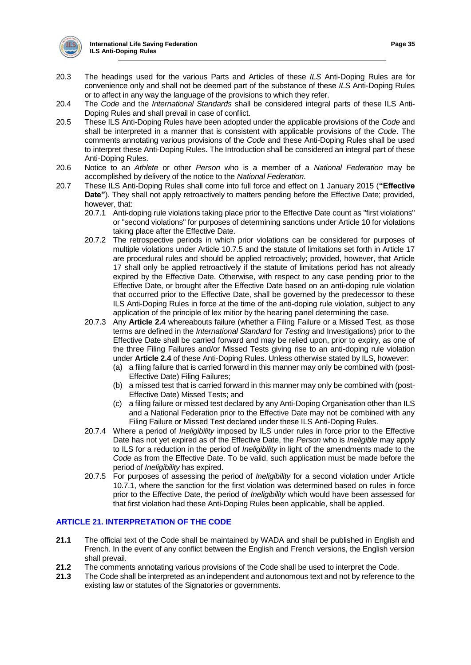

- 20.3 The headings used for the various Parts and Articles of these *ILS* Anti-Doping Rules are for convenience only and shall not be deemed part of the substance of these *ILS* Anti-Doping Rules or to affect in any way the language of the provisions to which they refer.
- 20.4 The *Code* and the *International Standards* shall be considered integral parts of these ILS Anti-Doping Rules and shall prevail in case of conflict.
- 20.5 These ILS Anti-Doping Rules have been adopted under the applicable provisions of the *Code* and shall be interpreted in a manner that is consistent with applicable provisions of the *Code*. The comments annotating various provisions of the *Code* and these Anti-Doping Rules shall be used to interpret these Anti-Doping Rules. The Introduction shall be considered an integral part of these Anti-Doping Rules.
- 20.6 Notice to an *Athlete* or other *Person* who is a member of a *National Federation* may be accomplished by delivery of the notice to the *National Federation*.
- 20.7 These ILS Anti-Doping Rules shall come into full force and effect on 1 January 2015 (**"Effective Date"**). They shall not apply retroactively to matters pending before the Effective Date; provided, however, that:
	- 20.7.1 Anti-doping rule violations taking place prior to the Effective Date count as "first violations" or "second violations" for purposes of determining sanctions under Article 10 for violations taking place after the Effective Date.
	- 20.7.2 The retrospective periods in which prior violations can be considered for purposes of multiple violations under Article 10.7.5 and the statute of limitations set forth in Article 17 are procedural rules and should be applied retroactively; provided, however, that Article 17 shall only be applied retroactively if the statute of limitations period has not already expired by the Effective Date. Otherwise, with respect to any case pending prior to the Effective Date, or brought after the Effective Date based on an anti-doping rule violation that occurred prior to the Effective Date, shall be governed by the predecessor to these ILS Anti-Doping Rules in force at the time of the anti-doping rule violation, subject to any application of the principle of lex mitior by the hearing panel determining the case.
	- 20.7.3 Any **Article 2.4** whereabouts failure (whether a Filing Failure or a Missed Test, as those terms are defined in the *International Standard* for *Testing* and Investigations) prior to the Effective Date shall be carried forward and may be relied upon, prior to expiry, as one of the three Filing Failures and/or Missed Tests giving rise to an anti-doping rule violation under **Article 2.4** of these Anti-Doping Rules. Unless otherwise stated by ILS, however:
		- (a) a filing failure that is carried forward in this manner may only be combined with (post-Effective Date) Filing Failures;
		- (b) a missed test that is carried forward in this manner may only be combined with (post-Effective Date) Missed Tests; and
		- (c) a filing failure or missed test declared by any Anti-Doping Organisation other than ILS and a National Federation prior to the Effective Date may not be combined with any Filing Failure or Missed Test declared under these ILS Anti-Doping Rules.
	- 20.7.4 Where a period of *Ineligibility* imposed by ILS under rules in force prior to the Effective Date has not yet expired as of the Effective Date, the *Person* who is *Ineligible* may apply to ILS for a reduction in the period of *Ineligibility* in light of the amendments made to the *Code* as from the Effective Date. To be valid, such application must be made before the period of *Ineligibility* has expired.
	- 20.7.5 For purposes of assessing the period of *Ineligibility* for a second violation under Article 10.7.1, where the sanction for the first violation was determined based on rules in force prior to the Effective Date, the period of *Ineligibility* which would have been assessed for that first violation had these Anti-Doping Rules been applicable, shall be applied.

# **ARTICLE 21. INTERPRETATION OF THE CODE**

- **21.1** The official text of the Code shall be maintained by WADA and shall be published in English and French. In the event of any conflict between the English and French versions, the English version shall prevail.
- **21.2** The comments annotating various provisions of the Code shall be used to interpret the Code.
- **21.3** The Code shall be interpreted as an independent and autonomous text and not by reference to the existing law or statutes of the Signatories or governments.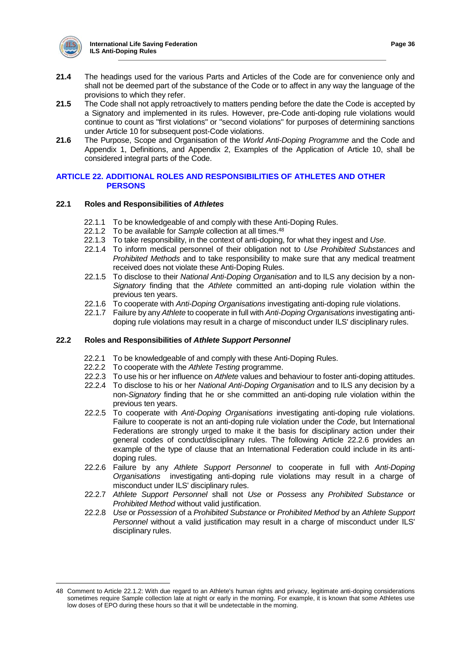

- **21.4** The headings used for the various Parts and Articles of the Code are for convenience only and shall not be deemed part of the substance of the Code or to affect in any way the language of the provisions to which they refer.
- **21.5** The Code shall not apply retroactively to matters pending before the date the Code is accepted by a Signatory and implemented in its rules. However, pre-Code anti-doping rule violations would continue to count as "first violations" or "second violations" for purposes of determining sanctions under Article 10 for subsequent post-Code violations.
- **21.6** The Purpose, Scope and Organisation of the *World Anti-Doping Programme* and the Code and Appendix 1, Definitions, and Appendix 2, Examples of the Application of Article 10, shall be considered integral parts of the Code.

## **ARTICLE 22. ADDITIONAL ROLES AND RESPONSIBILITIES OF ATHLETES AND OTHER PERSONS**

## **22.1 Roles and Responsibilities of** *Athletes*

- 22.1.1 To be knowledgeable of and comply with these Anti-Doping Rules.
- 22.1.2 To be available for *Sample* collection at all times.<sup>48</sup>
- 22.1.3 To take responsibility, in the context of anti-doping, for what they ingest and *Use*.
- 22.1.4 To inform medical personnel of their obligation not to *Use Prohibited Substances* and *Prohibited Methods* and to take responsibility to make sure that any medical treatment received does not violate these Anti-Doping Rules.
- 22.1.5 To disclose to their *National Anti-Doping Organisation* and to ILS any decision by a non-*Signatory* finding that the *Athlete* committed an anti-doping rule violation within the previous ten years.
- 22.1.6 To cooperate with *Anti-Doping Organisations* investigating anti-doping rule violations.
- 22.1.7 Failure by any *Athlete* to cooperate in full with *Anti-Doping Organisations* investigating antidoping rule violations may result in a charge of misconduct under ILS' disciplinary rules.

## **22.2 Roles and Responsibilities of** *Athlete Support Personnel*

- 22.2.1 To be knowledgeable of and comply with these Anti-Doping Rules.
- 22.2.2 To cooperate with the *Athlete Testing* programme.
- 22.2.3 To use his or her influence on *Athlete* values and behaviour to foster anti-doping attitudes.
- 22.2.4 To disclose to his or her *National Anti-Doping Organisation* and to ILS any decision by a non-*Signatory* finding that he or she committed an anti-doping rule violation within the previous ten years.
- 22.2.5 To cooperate with *Anti-Doping Organisations* investigating anti-doping rule violations. Failure to cooperate is not an anti-doping rule violation under the *Code*, but International Federations are strongly urged to make it the basis for disciplinary action under their general codes of conduct/disciplinary rules. The following Article 22.2.6 provides an example of the type of clause that an International Federation could include in its antidoping rules.
- 22.2.6 Failure by any *Athlete Support Personnel* to cooperate in full with *Anti-Doping Organisations* investigating anti-doping rule violations may result in a charge of misconduct under ILS' disciplinary rules.
- 22.2.7 *Athlete Support Personnel* shall not *Use* or *Possess* any *Prohibited Substance* or *Prohibited Method* without valid justification.
- 22.2.8 *Use* or *Possession* of a *Prohibited Substance* or *Prohibited Method* by an *Athlete Support Personnel* without a valid justification may result in a charge of misconduct under ILS' disciplinary rules.

 48 Comment to Article 22.1.2: With due regard to an Athlete's human rights and privacy, legitimate anti-doping considerations sometimes require Sample collection late at night or early in the morning. For example, it is known that some Athletes use low doses of EPO during these hours so that it will be undetectable in the morning.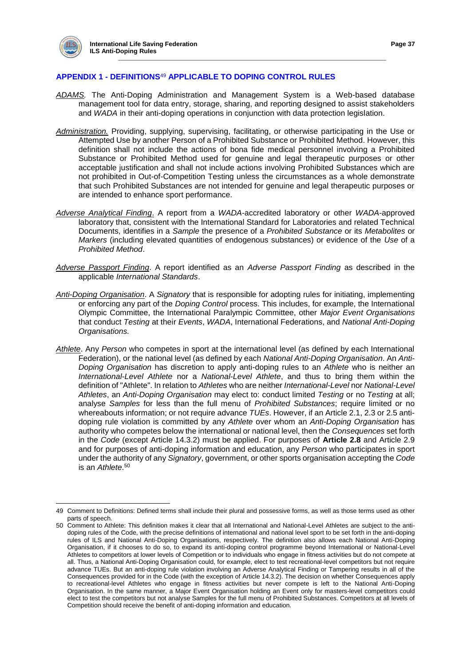$\overline{a}$ 

## **APPENDIX 1 - DEFINITIONS**<sup>49</sup> **APPLICABLE TO DOPING CONTROL RULES**

- *ADAMS.* The Anti-Doping Administration and Management System is a Web-based database management tool for data entry, storage, sharing, and reporting designed to assist stakeholders and *WADA* in their anti-doping operations in conjunction with data protection legislation.
- *Administration.* Providing, supplying, supervising, facilitating, or otherwise participating in the Use or Attempted Use by another Person of a Prohibited Substance or Prohibited Method. However, this definition shall not include the actions of bona fide medical personnel involving a Prohibited Substance or Prohibited Method used for genuine and legal therapeutic purposes or other acceptable justification and shall not include actions involving Prohibited Substances which are not prohibited in Out-of-Competition Testing unless the circumstances as a whole demonstrate that such Prohibited Substances are not intended for genuine and legal therapeutic purposes or are intended to enhance sport performance.
- *Adverse Analytical Finding*. A report from a *WADA-*accredited laboratory or other *WADA-*approved laboratory that, consistent with the International Standard for Laboratories and related Technical Documents, identifies in a *Sample* the presence of a *Prohibited Substance* or its *Metabolites* or *Markers* (including elevated quantities of endogenous substances) or evidence of the *Use* of a *Prohibited Method*.
- *Adverse Passport Finding*. A report identified as an *Adverse Passport Finding* as described in the applicable *International Standards*.
- *Anti-Doping Organisation*. A *Signatory* that is responsible for adopting rules for initiating, implementing or enforcing any part of the *Doping Control* process. This includes, for example, the International Olympic Committee, the International Paralympic Committee, other *Major Event Organisations* that conduct *Testing* at their *Events*, *WADA*, International Federations, and *National Anti-Doping Organisations.*
- *Athlete*. Any *Person* who competes in sport at the international level (as defined by each International Federation), or the national level (as defined by each *National Anti-Doping Organisation*. An *Anti-Doping Organisation* has discretion to apply anti-doping rules to an *Athlete* who is neither an *International-Level Athlete* nor a *National-Level Athlete*, and thus to bring them within the definition of "Athlete". In relation to *Athletes* who are neither *International-Level* nor *National-Level Athletes*, an *Anti-Doping Organisation* may elect to: conduct limited *Testing* or no *Testing* at all; analyse *Samples* for less than the full menu of *Prohibited Substances*; require limited or no whereabouts information; or not require advance *TUEs*. However, if an Article 2.1, 2.3 or 2.5 antidoping rule violation is committed by any *Athlete* over whom an *Anti-Doping Organisation* has authority who competes below the international or national level, then the *Consequences* set forth in the *Code* (except Article 14.3.2) must be applied. For purposes of **Article 2.8** and Article 2.9 and for purposes of anti-doping information and education, any *Person* who participates in sport under the authority of any *Signatory*, government, or other sports organisation accepting the *Code* is an *Athlete*. 50

<sup>49</sup> Comment to Definitions: Defined terms shall include their plural and possessive forms, as well as those terms used as other parts of speech.

<sup>50</sup> Comment to Athlete: This definition makes it clear that all International and National-Level Athletes are subject to the antidoping rules of the Code, with the precise definitions of international and national level sport to be set forth in the anti-doping rules of ILS and National Anti-Doping Organisations, respectively. The definition also allows each National Anti-Doping Organisation, if it chooses to do so, to expand its anti-doping control programme beyond International or National-Level Athletes to competitors at lower levels of Competition or to individuals who engage in fitness activities but do not compete at all. Thus, a National Anti-Doping Organisation could, for example, elect to test recreational-level competitors but not require advance TUEs. But an anti-doping rule violation involving an Adverse Analytical Finding or Tampering results in all of the Consequences provided for in the Code (with the exception of Article 14.3.2). The decision on whether Consequences apply to recreational-level Athletes who engage in fitness activities but never compete is left to the National Anti-Doping Organisation. In the same manner, a Major Event Organisation holding an Event only for masters-level competitors could elect to test the competitors but not analyse Samples for the full menu of Prohibited Substances. Competitors at all levels of Competition should receive the benefit of anti-doping information and education.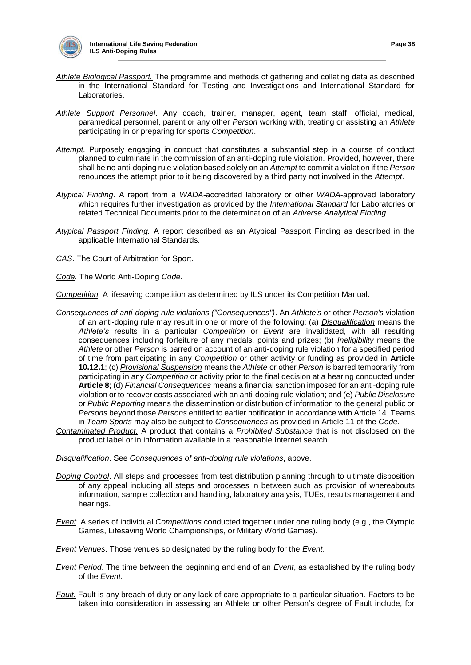

- *Athlete Biological Passport.* The programme and methods of gathering and collating data as described in the International Standard for Testing and Investigations and International Standard for Laboratories.
- *Athlete Support Personnel*. Any coach, trainer, manager, agent, team staff, official, medical, paramedical personnel, parent or any other *Person* working with, treating or assisting an *Athlete* participating in or preparing for sports *Competition*.
- *Attempt.* Purposely engaging in conduct that constitutes a substantial step in a course of conduct planned to culminate in the commission of an anti-doping rule violation. Provided, however, there shall be no anti-doping rule violation based solely on an *Attempt* to commit a violation if the *Person* renounces the attempt prior to it being discovered by a third party not involved in the *Attempt*.
- *Atypical Finding*. A report from a *WADA-*accredited laboratory or other *WADA*-approved laboratory which requires further investigation as provided by the *International Standard* for Laboratories or related Technical Documents prior to the determination of an *Adverse Analytical Finding*.
- *Atypical Passport Finding.* A report described as an Atypical Passport Finding as described in the applicable International Standards.

*CAS*. The Court of Arbitration for Sport.

*Code.* The World Anti-Doping *Code*.

*Competition.* A lifesaving competition as determined by ILS under its Competition Manual.

- *Consequences of anti-doping rule violations ("Consequences")*. An *Athlete's* or other *Person's* violation of an anti-doping rule may result in one or more of the following: (a) *Disqualification* means the *Athlete's* results in a particular *Competition* or *Event* are invalidated, with all resulting consequences including forfeiture of any medals, points and prizes; (b) *Ineligibility* means the *Athlete* or other *Person* is barred on account of an anti-doping rule violation for a specified period of time from participating in any *Competition* or other activity or funding as provided in **Article 10.12.1**; (c) *Provisional Suspension* means the *Athlete* or other *Person* is barred temporarily from participating in any *Competition* or activity prior to the final decision at a hearing conducted under **Article 8**; (d) *Financial Consequences* means a financial sanction imposed for an anti-doping rule violation or to recover costs associated with an anti-doping rule violation; and (e) *Public Disclosure*  or *Public Reporting* means the dissemination or distribution of information to the general public or *Persons* beyond those *Persons* entitled to earlier notification in accordance with Article 14. Teams in *Team Sports* may also be subject to *Consequences* as provided in Article 11 of the *Code*.
- *Contaminated Product.* A product that contains a *Prohibited Substance* that is not disclosed on the product label or in information available in a reasonable Internet search.

*Disqualification*. See *Consequences of anti-doping rule violations*, above.

- *Doping Control*. All steps and processes from test distribution planning through to ultimate disposition of any appeal including all steps and processes in between such as provision of whereabouts information, sample collection and handling, laboratory analysis, TUEs, results management and hearings.
- *Event.* A series of individual *Competitions* conducted together under one ruling body (e.g., the Olympic Games, Lifesaving World Championships, or Military World Games).

*Event Venues*. Those venues so designated by the ruling body for the *Event.*

- *Event Period*. The time between the beginning and end of an *Event*, as established by the ruling body of the *Event*.
- *Fault.* Fault is any breach of duty or any lack of care appropriate to a particular situation. Factors to be taken into consideration in assessing an Athlete or other Person's degree of Fault include, for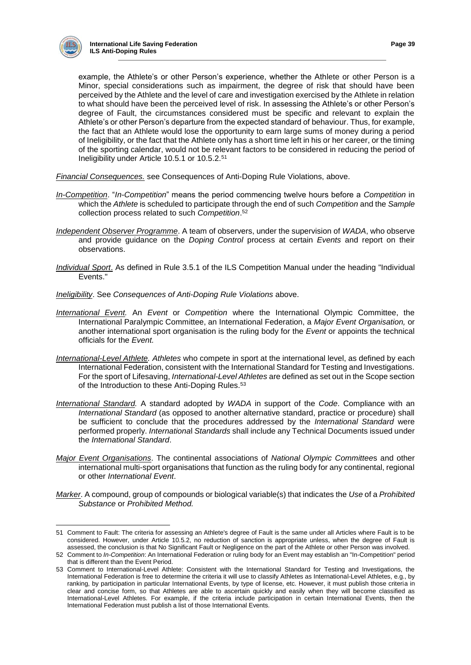

example, the Athlete's or other Person's experience, whether the Athlete or other Person is a Minor, special considerations such as impairment, the degree of risk that should have been perceived by the Athlete and the level of care and investigation exercised by the Athlete in relation to what should have been the perceived level of risk. In assessing the Athlete's or other Person's degree of Fault, the circumstances considered must be specific and relevant to explain the Athlete's or other Person's departure from the expected standard of behaviour. Thus, for example, the fact that an Athlete would lose the opportunity to earn large sums of money during a period of Ineligibility, or the fact that the Athlete only has a short time left in his or her career, or the timing of the sporting calendar, would not be relevant factors to be considered in reducing the period of Ineligibility under Article 10.5.1 or 10.5.2.<sup>51</sup>

*Financial Consequences.* see Consequences of Anti-Doping Rule Violations, above.

- *In-Competition*. "*In-Competition*" means the period commencing twelve hours before a *Competition* in which the *Athlete* is scheduled to participate through the end of such *Competition* and the *Sample* collection process related to such *Competition*. 52
- *Independent Observer Programme*. A team of observers, under the supervision of *WADA*, who observe and provide guidance on the *Doping Control* process at certain *Events* and report on their observations.
- *Individual Sport*. As defined in Rule 3.5.1 of the ILS Competition Manual under the heading "Individual Events."
- *Ineligibility*. See *Consequences of Anti-Doping Rule Violations* above.
- *International Event.* An *Event* or *Competition* where the International Olympic Committee, the International Paralympic Committee, an International Federation, a *Major Event Organisation,* or another international sport organisation is the ruling body for the *Event* or appoints the technical officials for the *Event.*
- *International-Level Athlete. Athletes* who compete in sport at the international level, as defined by each International Federation, consistent with the International Standard for Testing and Investigations. For the sport of Lifesaving, *International-Level Athletes* are defined as set out in the Scope section of the Introduction to these Anti-Doping Rules.<sup>53</sup>
- *International Standard.* A standard adopted by *WADA* in support of the *Code*. Compliance with an *International Standard* (as opposed to another alternative standard, practice or procedure) shall be sufficient to conclude that the procedures addressed by the *International Standard* were performed properly. *Internationa*l *Standards* shall include any Technical Documents issued under the *International Standard*.
- *Major Event Organisations*. The continental associations of *National Olympic Committee*s and other international multi-sport organisations that function as the ruling body for any continental, regional or other *International Event*.
- *Marker*. A compound, group of compounds or biological variable(s) that indicates the *Use* of a *Prohibited Substance* or *Prohibited Method.*

<sup>51</sup> Comment to Fault: The criteria for assessing an Athlete's degree of Fault is the same under all Articles where Fault is to be considered. However, under Article 10.5.2, no reduction of sanction is appropriate unless, when the degree of Fault is assessed, the conclusion is that No Significant Fault or Negligence on the part of the Athlete or other Person was involved.

<sup>52</sup> Comment to *In-Competition*: An International Federation or ruling body for an Event may establish an "In-Competition" period that is different than the Event Period.

<sup>53</sup> Comment to International-Level Athlete: Consistent with the International Standard for Testing and Investigations, the International Federation is free to determine the criteria it will use to classify Athletes as International-Level Athletes, e.g., by ranking, by participation in particular International Events, by type of license, etc. However, it must publish those criteria in clear and concise form, so that Athletes are able to ascertain quickly and easily when they will become classified as International-Level Athletes. For example, if the criteria include participation in certain International Events, then the International Federation must publish a list of those International Events.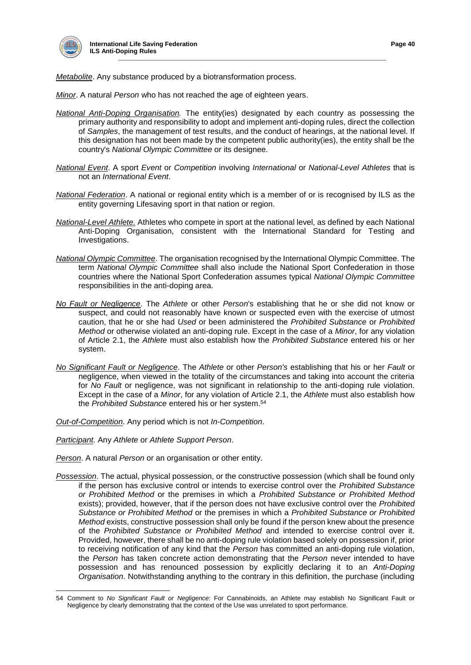

*Metabolite*. Any substance produced by a biotransformation process.

*Minor*. A natural *Person* who has not reached the age of eighteen years.

- *National Anti-Doping Organisation.* The entity(ies) designated by each country as possessing the primary authority and responsibility to adopt and implement anti-doping rules, direct the collection of *Samples*, the management of test results, and the conduct of hearings, at the national level. If this designation has not been made by the competent public authority(ies), the entity shall be the country's *National Olympic Committee* or its designee.
- *National Event*. A sport *Event* or *Competition* involving *International* or *National-Level Athletes* that is not an *International Event*.
- *National Federation*. A national or regional entity which is a member of or is recognised by ILS as the entity governing Lifesaving sport in that nation or region.
- *National-Level Athlete.* Athletes who compete in sport at the national level, as defined by each National Anti-Doping Organisation, consistent with the International Standard for Testing and Investigations.
- *National Olympic Committee*. The organisation recognised by the International Olympic Committee. The term *National Olympic Committee* shall also include the National Sport Confederation in those countries where the National Sport Confederation assumes typical *National Olympic Committee* responsibilities in the anti-doping area.
- *No Fault or Negligence*. The *Athlete* or other *Person*'s establishing that he or she did not know or suspect, and could not reasonably have known or suspected even with the exercise of utmost caution, that he or she had *Used* or been administered the *Prohibited Substance* or *Prohibited Method* or otherwise violated an anti-doping rule. Except in the case of a *Minor*, for any violation of Article 2.1, the *Athlete* must also establish how the *Prohibited Substance* entered his or her system.
- *No Significant Fault or Negligence*. The *Athlete* or other *Person's* establishing that his or her *Fault* or negligence, when viewed in the totality of the circumstances and taking into account the criteria for *No Fault* or negligence, was not significant in relationship to the anti-doping rule violation. Except in the case of a *Minor*, for any violation of Article 2.1, the *Athlete* must also establish how the *Prohibited Substance* entered his or her system.<sup>54</sup>

*Out-of-Competition*. Any period which is not *In-Competition*.

*Participant.* Any *Athlete* or *Athlete Support Person*.

- *Person*. A natural *Person* or an organisation or other entity.
- *Possession*. The actual, physical possession, or the constructive possession (which shall be found only if the person has exclusive control or intends to exercise control over the *Prohibited Substance or Prohibited Method* or the premises in which a *Prohibited Substance or Prohibited Method* exists); provided, however, that if the person does not have exclusive control over the *Prohibited Substance or Prohibited Method* or the premises in which a *Prohibited Substance or Prohibited Method* exists, constructive possession shall only be found if the person knew about the presence of the *Prohibited Substance or Prohibited Method* and intended to exercise control over it. Provided, however, there shall be no anti-doping rule violation based solely on possession if, prior to receiving notification of any kind that the *Person* has committed an anti-doping rule violation, the *Person* has taken concrete action demonstrating that the *Person* never intended to have possession and has renounced possession by explicitly declaring it to an *Anti-Doping Organisation*. Notwithstanding anything to the contrary in this definition, the purchase (including

 54 Comment to *No Significant Fault or Negligence*: For Cannabinoids, an Athlete may establish No Significant Fault or Negligence by clearly demonstrating that the context of the Use was unrelated to sport performance.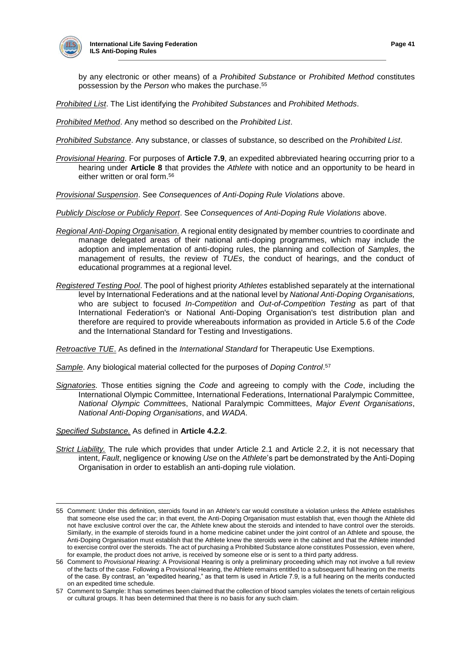

by any electronic or other means) of a *Prohibited Substance* or *Prohibited Method* constitutes possession by the *Person* who makes the purchase.<sup>55</sup>

*Prohibited List*. The List identifying the *Prohibited Substances* and *Prohibited Methods*.

*Prohibited Method*. Any method so described on the *Prohibited List*.

*Prohibited Substance*. Any substance, or classes of substance, so described on the *Prohibited List*.

*Provisional Hearing*. For purposes of **Article 7.9**, an expedited abbreviated hearing occurring prior to a hearing under **Article 8** that provides the *Athlete* with notice and an opportunity to be heard in either written or oral form.<sup>56</sup>

*Provisional Suspension*. See *Consequences of Anti-Doping Rule Violations* above.

*Publicly Disclose or Publicly Report*. See *Consequences of Anti-Doping Rule Violations* above.

- *Regional Anti-Doping Organisation*. A regional entity designated by member countries to coordinate and manage delegated areas of their national anti-doping programmes, which may include the adoption and implementation of anti-doping rules, the planning and collection of *Samples*, the management of results, the review of *TUEs*, the conduct of hearings, and the conduct of educational programmes at a regional level.
- *Registered Testing Pool*. The pool of highest priority *Athletes* established separately at the international level by International Federations and at the national level by *National Anti-Doping Organisations,* who are subject to focused *In-Competition* and *Out-of-Competition Testing* as part of that International Federation's or National Anti-Doping Organisation's test distribution plan and therefore are required to provide whereabouts information as provided in Article 5.6 of the *Code* and the International Standard for Testing and Investigations.

*Retroactive TUE*. As defined in the *International Standard* for Therapeutic Use Exemptions.

*Sample*. Any biological material collected for the purposes of *Doping Control*. 57

*Signatories.* Those entities signing the *Code* and agreeing to comply with the *Code*, including the International Olympic Committee, International Federations, International Paralympic Committee, *National Olympic Committee*s, National Paralympic Committees, *Major Event Organisations*, *National Anti-Doping Organisations*, and *WADA*.

*Specified Substance.* As defined in **Article 4.2.2**.

*Strict Liability.* The rule which provides that under Article 2.1 and Article 2.2, it is not necessary that intent, *Fault*, negligence or knowing *Use* on the *Athlete*'s part be demonstrated by the Anti-Doping Organisation in order to establish an anti-doping rule violation.

 $\overline{a}$ 55 Comment: Under this definition, steroids found in an Athlete's car would constitute a violation unless the Athlete establishes that someone else used the car; in that event, the Anti-Doping Organisation must establish that, even though the Athlete did not have exclusive control over the car, the Athlete knew about the steroids and intended to have control over the steroids. Similarly, in the example of steroids found in a home medicine cabinet under the joint control of an Athlete and spouse, the Anti-Doping Organisation must establish that the Athlete knew the steroids were in the cabinet and that the Athlete intended to exercise control over the steroids. The act of purchasing a Prohibited Substance alone constitutes Possession, even where, for example, the product does not arrive, is received by someone else or is sent to a third party address.

<sup>56</sup> Comment to *Provisional Hearing*: A Provisional Hearing is only a preliminary proceeding which may not involve a full review of the facts of the case. Following a Provisional Hearing, the Athlete remains entitled to a subsequent full hearing on the merits of the case. By contrast, an "expedited hearing," as that term is used in Article 7.9, is a full hearing on the merits conducted on an expedited time schedule.

<sup>57</sup> Comment to Sample: It has sometimes been claimed that the collection of blood samples violates the tenets of certain religious or cultural groups. It has been determined that there is no basis for any such claim.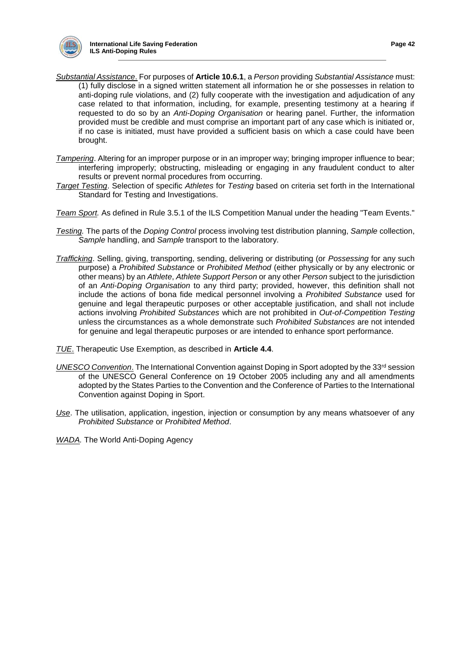

- *Substantial Assistance*. For purposes of **Article 10.6.1**, a *Person* providing *Substantial Assistance* must: (1) fully disclose in a signed written statement all information he or she possesses in relation to anti-doping rule violations, and (2) fully cooperate with the investigation and adjudication of any case related to that information, including, for example, presenting testimony at a hearing if requested to do so by an *Anti-Doping Organisation* or hearing panel. Further, the information provided must be credible and must comprise an important part of any case which is initiated or, if no case is initiated, must have provided a sufficient basis on which a case could have been brought.
- *Tampering*. Altering for an improper purpose or in an improper way; bringing improper influence to bear; interfering improperly; obstructing, misleading or engaging in any fraudulent conduct to alter results or prevent normal procedures from occurring.
- *Target Testing*. Selection of specific *Athletes* for *Testing* based on criteria set forth in the International Standard for Testing and Investigations.
- *Team Sport.* As defined in Rule 3.5.1 of the ILS Competition Manual under the heading "Team Events."
- *Testing.* The parts of the *Doping Control* process involving test distribution planning, *Sample* collection, *Sample* handling, and *Sample* transport to the laboratory.
- *Trafficking*. Selling, giving, transporting, sending, delivering or distributing (or *Possessing* for any such purpose) a *Prohibited Substance* or *Prohibited Method* (either physically or by any electronic or other means) by an *Athlete*, *Athlete Support Person* or any other *Person* subject to the jurisdiction of an *Anti-Doping Organisation* to any third party; provided, however, this definition shall not include the actions of bona fide medical personnel involving a *Prohibited Substance* used for genuine and legal therapeutic purposes or other acceptable justification, and shall not include actions involving *Prohibited Substances* which are not prohibited in *Out-of-Competition Testing* unless the circumstances as a whole demonstrate such *Prohibited Substances* are not intended for genuine and legal therapeutic purposes or are intended to enhance sport performance.
- *TUE*. Therapeutic Use Exemption, as described in **Article 4.4**.
- *UNESCO Convention*. The International Convention against Doping in Sport adopted by the 33<sup>rd</sup> session of the UNESCO General Conference on 19 October 2005 including any and all amendments adopted by the States Parties to the Convention and the Conference of Parties to the International Convention against Doping in Sport.
- *Use*. The utilisation, application, ingestion, injection or consumption by any means whatsoever of any *Prohibited Substance* or *Prohibited Method*.

*WADA.* The World Anti-Doping Agency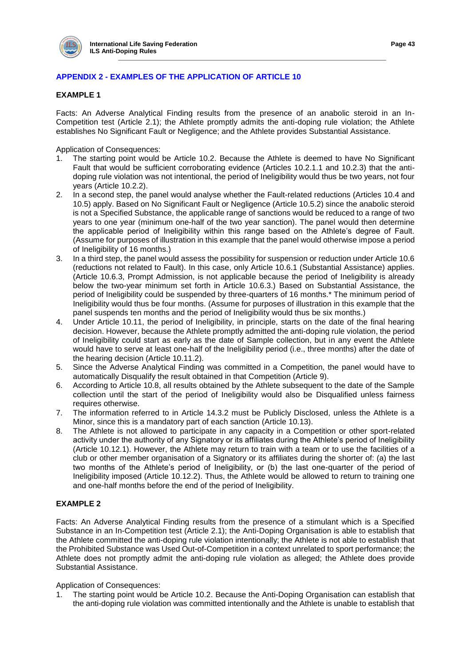

# **APPENDIX 2 - EXAMPLES OF THE APPLICATION OF ARTICLE 10**

## **EXAMPLE 1**

Facts: An Adverse Analytical Finding results from the presence of an anabolic steroid in an In-Competition test (Article 2.1); the Athlete promptly admits the anti-doping rule violation; the Athlete establishes No Significant Fault or Negligence; and the Athlete provides Substantial Assistance.

Application of Consequences:

- 1. The starting point would be Article 10.2. Because the Athlete is deemed to have No Significant Fault that would be sufficient corroborating evidence (Articles 10.2.1.1 and 10.2.3) that the antidoping rule violation was not intentional, the period of Ineligibility would thus be two years, not four years (Article 10.2.2).
- 2. In a second step, the panel would analyse whether the Fault-related reductions (Articles 10.4 and 10.5) apply. Based on No Significant Fault or Negligence (Article 10.5.2) since the anabolic steroid is not a Specified Substance, the applicable range of sanctions would be reduced to a range of two years to one year (minimum one-half of the two year sanction). The panel would then determine the applicable period of Ineligibility within this range based on the Athlete's degree of Fault. (Assume for purposes of illustration in this example that the panel would otherwise impose a period of Ineligibility of 16 months.)
- 3. In a third step, the panel would assess the possibility for suspension or reduction under Article 10.6 (reductions not related to Fault). In this case, only Article 10.6.1 (Substantial Assistance) applies. (Article 10.6.3, Prompt Admission, is not applicable because the period of Ineligibility is already below the two-year minimum set forth in Article 10.6.3.) Based on Substantial Assistance, the period of Ineligibility could be suspended by three-quarters of 16 months.\* The minimum period of Ineligibility would thus be four months. (Assume for purposes of illustration in this example that the panel suspends ten months and the period of Ineligibility would thus be six months.)
- 4. Under Article 10.11, the period of Ineligibility, in principle, starts on the date of the final hearing decision. However, because the Athlete promptly admitted the anti-doping rule violation, the period of Ineligibility could start as early as the date of Sample collection, but in any event the Athlete would have to serve at least one-half of the Ineligibility period (i.e., three months) after the date of the hearing decision (Article 10.11.2).
- 5. Since the Adverse Analytical Finding was committed in a Competition, the panel would have to automatically Disqualify the result obtained in that Competition (Article 9).
- 6. According to Article 10.8, all results obtained by the Athlete subsequent to the date of the Sample collection until the start of the period of Ineligibility would also be Disqualified unless fairness requires otherwise.
- 7. The information referred to in Article 14.3.2 must be Publicly Disclosed, unless the Athlete is a Minor, since this is a mandatory part of each sanction (Article 10.13).
- 8. The Athlete is not allowed to participate in any capacity in a Competition or other sport-related activity under the authority of any Signatory or its affiliates during the Athlete's period of Ineligibility (Article 10.12.1). However, the Athlete may return to train with a team or to use the facilities of a club or other member organisation of a Signatory or its affiliates during the shorter of: (a) the last two months of the Athlete's period of Ineligibility, or (b) the last one-quarter of the period of Ineligibility imposed (Article 10.12.2). Thus, the Athlete would be allowed to return to training one and one-half months before the end of the period of Ineligibility.

## **EXAMPLE 2**

Facts: An Adverse Analytical Finding results from the presence of a stimulant which is a Specified Substance in an In-Competition test (Article 2.1); the Anti-Doping Organisation is able to establish that the Athlete committed the anti-doping rule violation intentionally; the Athlete is not able to establish that the Prohibited Substance was Used Out-of-Competition in a context unrelated to sport performance; the Athlete does not promptly admit the anti-doping rule violation as alleged; the Athlete does provide Substantial Assistance.

Application of Consequences:

1. The starting point would be Article 10.2. Because the Anti-Doping Organisation can establish that the anti-doping rule violation was committed intentionally and the Athlete is unable to establish that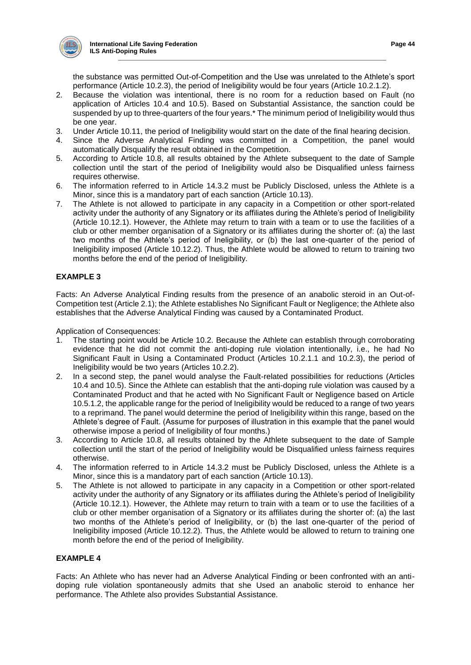

the substance was permitted Out-of-Competition and the Use was unrelated to the Athlete's sport performance (Article 10.2.3), the period of Ineligibility would be four years (Article 10.2.1.2).

- 2. Because the violation was intentional, there is no room for a reduction based on Fault (no application of Articles 10.4 and 10.5). Based on Substantial Assistance, the sanction could be suspended by up to three-quarters of the four years.\* The minimum period of Ineligibility would thus be one year.
- 3. Under Article 10.11, the period of Ineligibility would start on the date of the final hearing decision.<br>4. Since the Adverse Analytical Finding was committed in a Competition, the panel would
- Since the Adverse Analytical Finding was committed in a Competition, the panel would automatically Disqualify the result obtained in the Competition.
- 5. According to Article 10.8, all results obtained by the Athlete subsequent to the date of Sample collection until the start of the period of Ineligibility would also be Disqualified unless fairness requires otherwise.
- 6. The information referred to in Article 14.3.2 must be Publicly Disclosed, unless the Athlete is a Minor, since this is a mandatory part of each sanction (Article 10.13).
- 7. The Athlete is not allowed to participate in any capacity in a Competition or other sport-related activity under the authority of any Signatory or its affiliates during the Athlete's period of Ineligibility (Article 10.12.1). However, the Athlete may return to train with a team or to use the facilities of a club or other member organisation of a Signatory or its affiliates during the shorter of: (a) the last two months of the Athlete's period of Ineligibility, or (b) the last one-quarter of the period of Ineligibility imposed (Article 10.12.2). Thus, the Athlete would be allowed to return to training two months before the end of the period of Ineligibility.

# **EXAMPLE 3**

Facts: An Adverse Analytical Finding results from the presence of an anabolic steroid in an Out-of-Competition test (Article 2.1); the Athlete establishes No Significant Fault or Negligence; the Athlete also establishes that the Adverse Analytical Finding was caused by a Contaminated Product.

Application of Consequences:

- 1. The starting point would be Article 10.2. Because the Athlete can establish through corroborating evidence that he did not commit the anti-doping rule violation intentionally, i.e., he had No Significant Fault in Using a Contaminated Product (Articles 10.2.1.1 and 10.2.3), the period of Ineligibility would be two years (Articles 10.2.2).
- 2. In a second step, the panel would analyse the Fault-related possibilities for reductions (Articles 10.4 and 10.5). Since the Athlete can establish that the anti-doping rule violation was caused by a Contaminated Product and that he acted with No Significant Fault or Negligence based on Article 10.5.1.2, the applicable range for the period of Ineligibility would be reduced to a range of two years to a reprimand. The panel would determine the period of Ineligibility within this range, based on the Athlete's degree of Fault. (Assume for purposes of illustration in this example that the panel would otherwise impose a period of Ineligibility of four months.)
- 3. According to Article 10.8, all results obtained by the Athlete subsequent to the date of Sample collection until the start of the period of Ineligibility would be Disqualified unless fairness requires otherwise.
- 4. The information referred to in Article 14.3.2 must be Publicly Disclosed, unless the Athlete is a Minor, since this is a mandatory part of each sanction (Article 10.13).
- 5. The Athlete is not allowed to participate in any capacity in a Competition or other sport-related activity under the authority of any Signatory or its affiliates during the Athlete's period of Ineligibility (Article 10.12.1). However, the Athlete may return to train with a team or to use the facilities of a club or other member organisation of a Signatory or its affiliates during the shorter of: (a) the last two months of the Athlete's period of Ineligibility, or (b) the last one-quarter of the period of Ineligibility imposed (Article 10.12.2). Thus, the Athlete would be allowed to return to training one month before the end of the period of Ineligibility.

# **EXAMPLE 4**

Facts: An Athlete who has never had an Adverse Analytical Finding or been confronted with an antidoping rule violation spontaneously admits that she Used an anabolic steroid to enhance her performance. The Athlete also provides Substantial Assistance.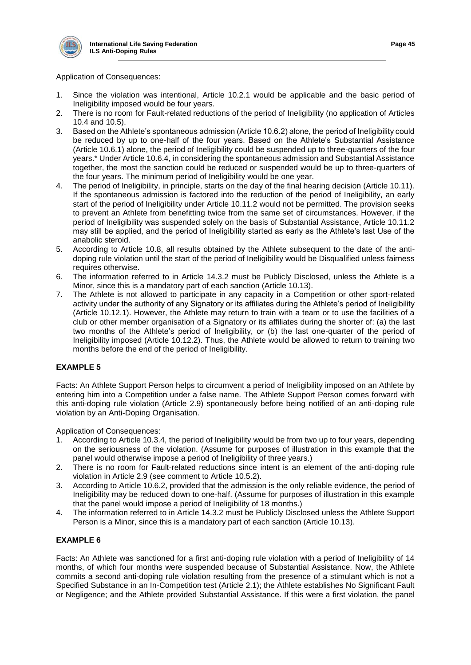

## Application of Consequences:

- 1. Since the violation was intentional, Article 10.2.1 would be applicable and the basic period of Ineligibility imposed would be four years.
- 2. There is no room for Fault-related reductions of the period of Ineligibility (no application of Articles 10.4 and 10.5).
- 3. Based on the Athlete's spontaneous admission (Article 10.6.2) alone, the period of Ineligibility could be reduced by up to one-half of the four years. Based on the Athlete's Substantial Assistance (Article 10.6.1) alone, the period of Ineligibility could be suspended up to three-quarters of the four years.\* Under Article 10.6.4, in considering the spontaneous admission and Substantial Assistance together, the most the sanction could be reduced or suspended would be up to three-quarters of the four years. The minimum period of Ineligibility would be one year.
- 4. The period of Ineligibility, in principle, starts on the day of the final hearing decision (Article 10.11). If the spontaneous admission is factored into the reduction of the period of Ineligibility, an early start of the period of Ineligibility under Article 10.11.2 would not be permitted. The provision seeks to prevent an Athlete from benefitting twice from the same set of circumstances. However, if the period of Ineligibility was suspended solely on the basis of Substantial Assistance, Article 10.11.2 may still be applied, and the period of Ineligibility started as early as the Athlete's last Use of the anabolic steroid.
- 5. According to Article 10.8, all results obtained by the Athlete subsequent to the date of the antidoping rule violation until the start of the period of Ineligibility would be Disqualified unless fairness requires otherwise.
- 6. The information referred to in Article 14.3.2 must be Publicly Disclosed, unless the Athlete is a Minor, since this is a mandatory part of each sanction (Article 10.13).
- 7. The Athlete is not allowed to participate in any capacity in a Competition or other sport-related activity under the authority of any Signatory or its affiliates during the Athlete's period of Ineligibility (Article 10.12.1). However, the Athlete may return to train with a team or to use the facilities of a club or other member organisation of a Signatory or its affiliates during the shorter of: (a) the last two months of the Athlete's period of Ineligibility, or (b) the last one-quarter of the period of Ineligibility imposed (Article 10.12.2). Thus, the Athlete would be allowed to return to training two months before the end of the period of Ineligibility.

## **EXAMPLE 5**

Facts: An Athlete Support Person helps to circumvent a period of Ineligibility imposed on an Athlete by entering him into a Competition under a false name. The Athlete Support Person comes forward with this anti-doping rule violation (Article 2.9) spontaneously before being notified of an anti-doping rule violation by an Anti-Doping Organisation.

Application of Consequences:

- 1. According to Article 10.3.4, the period of Ineligibility would be from two up to four years, depending on the seriousness of the violation. (Assume for purposes of illustration in this example that the panel would otherwise impose a period of Ineligibility of three years.)
- 2. There is no room for Fault-related reductions since intent is an element of the anti-doping rule violation in Article 2.9 (see comment to Article 10.5.2).
- 3. According to Article 10.6.2, provided that the admission is the only reliable evidence, the period of Ineligibility may be reduced down to one-half. (Assume for purposes of illustration in this example that the panel would impose a period of Ineligibility of 18 months.)
- 4. The information referred to in Article 14.3.2 must be Publicly Disclosed unless the Athlete Support Person is a Minor, since this is a mandatory part of each sanction (Article 10.13).

## **EXAMPLE 6**

Facts: An Athlete was sanctioned for a first anti-doping rule violation with a period of Ineligibility of 14 months, of which four months were suspended because of Substantial Assistance. Now, the Athlete commits a second anti-doping rule violation resulting from the presence of a stimulant which is not a Specified Substance in an In-Competition test (Article 2.1); the Athlete establishes No Significant Fault or Negligence; and the Athlete provided Substantial Assistance. If this were a first violation, the panel